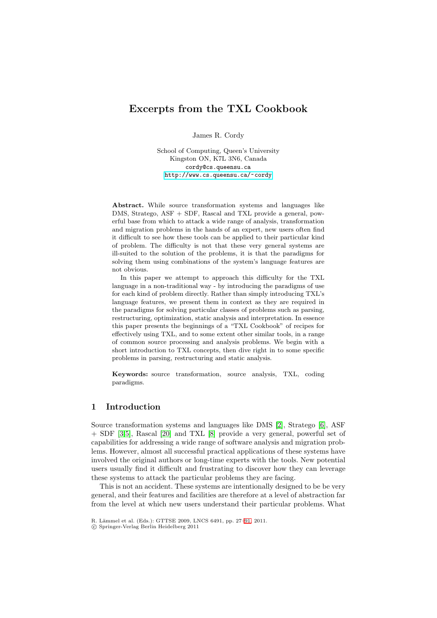# **Excerpts from the TXL Cookbook**

James R. Cordy

School of Computing, Queen's University Kingston ON, K7L 3N6, Canada cordy@cs.queensu.ca <http://www.cs.queensu.ca/~cordy>

**Abstract.** While source transformation systems and languages like DMS, Stratego, ASF + SDF, Rascal and TXL provide a general, powerful base from which to attack a wide range of analysis, transformation and migration problems in the hands of an expert, new users often find it difficult to see how these tools can be applied to their particular kind of problem. The difficulty is not that these very general systems are ill-suited to the solution of the problems, it is that the paradigms for solving them using combinations of the system's language features are not obvious.

In this paper we attempt to approach this difficulty for the TXL language in a non-traditional way - by introducing the paradigms of use for each kind of problem directly. Rather than simply introducing TXL's language features, we present them in context as they are required in the paradigms for solving particular classes of problems such as parsing, restructuring, optimization, static analysis and interpretation. In essence this paper presents the beginnings of a "TXL Cookbook" of recipes for effectively using TXL, and to some extent other similar tools, in a range of common source processing and analysis problems. We begin with a short introduction to TXL concepts, then dive right in to some specific problems in parsing, restructuring and static analysis.

**Keywords:** source transformation, source analysis, TXL, coding paradigms.

# **1 Introduction**

Source transformation systems and languages like DMS [\[2\]](#page-63-0), Stratego [\[6\]](#page-63-1), ASF + SDF [\[3,](#page-63-2)[5\]](#page-63-3), Rascal [\[20\]](#page-64-0) and TXL [\[8\]](#page-63-4) provide a very general, powerful set of capabilities for addressing a wide range of software analysis and migration problems. However, almost all successful practical applications of these systems have involved the original authors or long-time experts with the tools. New potential users usually find it difficult and frustrating to discover how they can leverage these systems to attack the particular problems they are facing.

This is not an accident. These systems are intentionally designed to be be very general, and their features and facilities are therefore at a level of abstraction far from the level at which new users understand their particular problems. What

R. Lämmel et al. (Eds.): GTTSE 2009, LNCS 6491, pp. 27-91, 2011.

<sup>-</sup>c Springer-Verlag Berlin Heidelberg 2011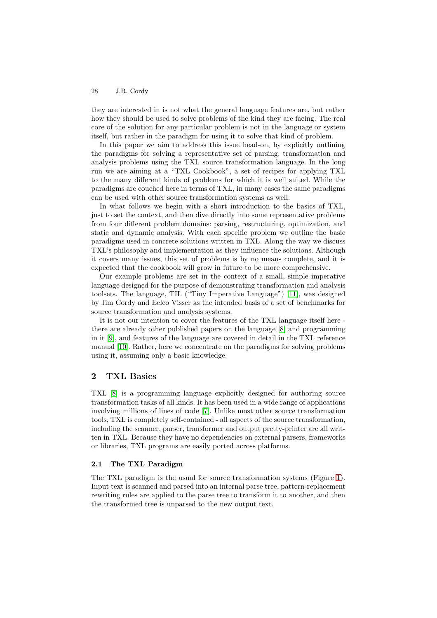they are interested in is not what the general language features are, but rather how they should be used to solve problems of the kind they are facing. The real core of the solution for any particular problem is not in the language or system itself, but rather in the paradigm for using it to solve that kind of problem.

In this paper we aim to address this issue head-on, by explicitly outlining the paradigms for solving a representative set of parsing, transformation and analysis problems using the TXL source transformation language. In the long run we are aiming at a "TXL Cookbook", a set of recipes for applying TXL to the many different kinds of problems for which it is well suited. While the paradigms are couched here in terms of TXL, in many cases the same paradigms can be used with other source transformation systems as well.

In what follows we begin with a short introduction to the basics of TXL, just to set the context, and then dive directly into some representative problems from four different problem domains: parsing, restructuring, optimization, and static and dynamic analysis. With each specific problem we outline the basic paradigms used in concrete solutions written in TXL. Along the way we discuss TXL's philosophy and implementation as they influence the solutions. Although it covers many issues, this set of problems is by no means complete, and it is expected that the cookbook will grow in future to be more comprehensive.

Our example problems are set in the context of a small, simple imperative language designed for the purpose of demonstrating transformation and analysis toolsets. The language, TIL ("Tiny Imperative Language") [\[11\]](#page-64-1), was designed by Jim Cordy and Eelco Visser as the intended basis of a set of benchmarks for source transformation and analysis systems.

It is not our intention to cover the features of the TXL language itself here there are already other published papers on the language [\[8\]](#page-63-4) and programming in it [\[9\]](#page-64-2), and features of the language are covered in detail in the TXL reference manual [\[10\]](#page-64-3). Rather, here we concentrate on the paradigms for solving problems using it, assuming only a basic knowledge.

## **2 TXL Basics**

TXL [\[8\]](#page-63-4) is a programming language explicitly designed for authoring source transformation tasks of all kinds. It has been used in a wide range of applications involving millions of lines of code [\[7\]](#page-63-6). Unlike most other source transformation tools, TXL is completely self-contained - all aspects of the source transformation, including the scanner, parser, transformer and output pretty-printer are all written in TXL. Because they have no dependencies on external parsers, frameworks or libraries, TXL programs are easily ported across platforms.

### **2.1 The TXL Paradigm**

The TXL paradigm is the usual for source transformation systems (Figure [1\)](#page-2-0). Input text is scanned and parsed into an internal parse tree, pattern-replacement rewriting rules are applied to the parse tree to transform it to another, and then the transformed tree is unparsed to the new output text.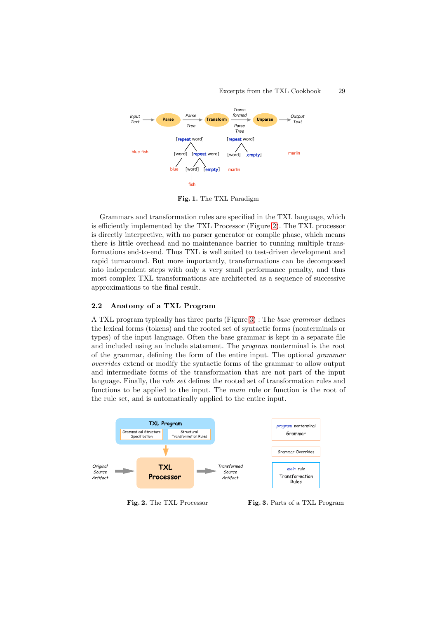

<span id="page-2-0"></span>**Fig. 1.** The TXL Paradigm

Grammars and transformation rules are specified in the TXL language, which is efficiently implemented by the TXL Processor (Figure [2\)](#page-2-1). The TXL processor is directly interpretive, with no parser generator or compile phase, which means there is little overhead and no maintenance barrier to running multiple transformations end-to-end. Thus TXL is well suited to test-driven development and rapid turnaround. But more importantly, transformations can be decomposed into independent steps with only a very small performance penalty, and thus most complex TXL transformations are architected as a sequence of successive approximations to the final result.

### **2.2 Anatomy of a TXL Program**

A TXL program typically has three parts (Figure [3\)](#page-2-2) : The *base grammar* defines the lexical forms (tokens) and the rooted set of syntactic forms (nonterminals or types) of the input language. Often the base grammar is kept in a separate file and included using an include statement. The *program* nonterminal is the root of the grammar, defining the form of the entire input. The optional *grammar overrides* extend or modify the syntactic forms of the grammar to allow output and intermediate forms of the transformation that are not part of the input language. Finally, the *rule set* defines the rooted set of transformation rules and functions to be applied to the input. The *main* rule or function is the root of the rule set, and is automatically applied to the entire input.



<span id="page-2-1"></span>**Fig. 2.** The TXL Processor

<span id="page-2-2"></span>**Fig. 3.** Parts of a TXL Program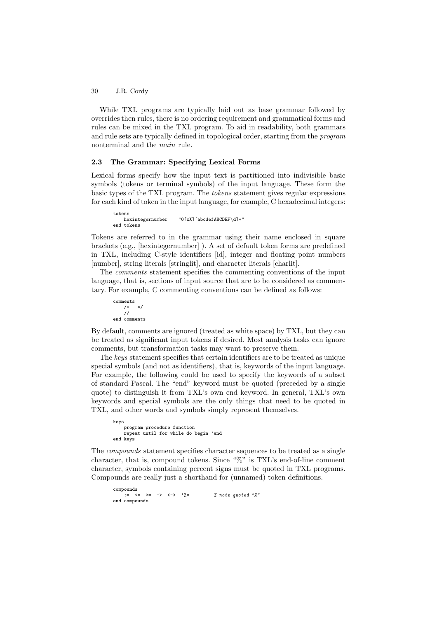While TXL programs are typically laid out as base grammar followed by overrides then rules, there is no ordering requirement and grammatical forms and rules can be mixed in the TXL program. To aid in readability, both grammars and rule sets are typically defined in topological order, starting from the *program* nonterminal and the *main* rule.

### **2.3 The Grammar: Specifying Lexical Forms**

Lexical forms specify how the input text is partitioned into indivisible basic symbols (tokens or terminal symbols) of the input language. These form the basic types of the TXL program. The *tokens* statement gives regular expressions for each kind of token in the input language, for example, C hexadecimal integers:

```
tokens
                  "O[xX][abcdefABCDEF\d]+"
end tokens
```
Tokens are referred to in the grammar using their name enclosed in square brackets (e.g., [hexintegernumber] ). A set of default token forms are predefined in TXL, including C-style identifiers [id], integer and floating point numbers [number], string literals [stringlit], and character literals [charlit].

The *comments* statement specifies the commenting conventions of the input language, that is, sections of input source that are to be considered as commentary. For example, C commenting conventions can be defined as follows:

$$
\begin{array}{c}\text{comments} \\ \hline \text{/*} \\ \text{/*} \\ \text{end comments}\end{array}
$$

By default, comments are ignored (treated as white space) by TXL, but they can be treated as significant input tokens if desired. Most analysis tasks can ignore comments, but transformation tasks may want to preserve them.

The *keys* statement specifies that certain identifiers are to be treated as unique special symbols (and not as identifiers), that is, keywords of the input language. For example, the following could be used to specify the keywords of a subset of standard Pascal. The "end" keyword must be quoted (preceded by a single quote) to distinguish it from TXL's own end keyword. In general, TXL's own keywords and special symbols are the only things that need to be quoted in TXL, and other words and symbols simply represent themselves.

keys program procedure function repeat until for while do begin 'end end keys

The *compounds* statement specifies character sequences to be treated as a single character, that is, compound tokens. Since "%" is TXL's end-of-line comment character, symbols containing percent signs must be quoted in TXL programs. Compounds are really just a shorthand for (unnamed) token definitions.

compounds := <= >= -> <-> '%= *% note quoted "%"* end compounds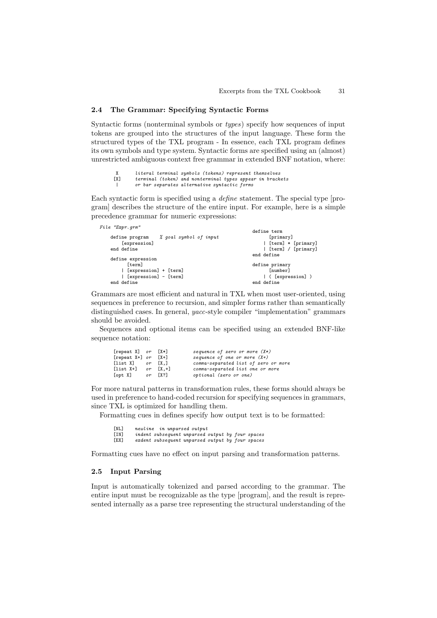### **2.4 The Grammar: Specifying Syntactic Forms**

Syntactic forms (nonterminal symbols or *types*) specify how sequences of input tokens are grouped into the structures of the input language. These form the structured types of the TXL program - In essence, each TXL program defines its own symbols and type system. Syntactic forms are specified using an (almost) unrestricted ambiguous context free grammar in extended BNF notation, where:

|     | literal terminal symbols (tokens) represent themselves    |
|-----|-----------------------------------------------------------|
| [X] | terminal (token) and nonterminal types appear in brackets |
|     | or bar separates alternative syntactic forms              |

Each syntactic form is specified using a *define* statement. The special type [program] describes the structure of the entire input. For example, here is a simple precedence grammar for numeric expressions:

| File "Expr.grm"       |                        |                    |
|-----------------------|------------------------|--------------------|
|                       |                        | define term        |
| define program        | % goal symbol of input | [primary]          |
| [expression]          |                        | [term] * [primary] |
| end define            |                        | [term] / [primary] |
|                       |                        | end define         |
| define expression     |                        |                    |
| [term]                |                        | define primary     |
| [expression] + [term] |                        | [number]           |
| [expression] - [term] |                        | ( [expression] )   |
| end define            |                        | end define         |

Grammars are most efficient and natural in TXL when most user-oriented, using sequences in preference to recursion, and simpler forms rather than semantically distinguished cases. In general, *yacc*-style compiler "implementation" grammars should be avoided.

Sequences and optional items can be specified using an extended BNF-like sequence notation:

| [repeat X] $or$ [X*]     |           | sequence of zero or more $(X*)$      |
|--------------------------|-----------|--------------------------------------|
| [repeat $X+$ ] or $[X+]$ |           | sequence of one or more $(X+)$       |
| $[i]$ $[X]$ $[0]$ $[0]$  |           | comma-separated list of zero or more |
| [list X+] $or$ [X,+]     |           | comma-separated list one or more     |
| [opt X]                  | or $[12]$ | optional (zero or one)               |

For more natural patterns in transformation rules, these forms should always be used in preference to hand-coded recursion for specifying sequences in grammars, since TXL is optimized for handling them.

Formatting cues in defines specify how output text is to be formatted:

```
[NL] newline in unparsed output
[IN] indent subsequent unparsed output by four spaces
       exdent subsequent unparsed output by four spaces
```
Formatting cues have no effect on input parsing and transformation patterns.

### **2.5 Input Parsing**

Input is automatically tokenized and parsed according to the grammar. The entire input must be recognizable as the type [program], and the result is represented internally as a parse tree representing the structural understanding of the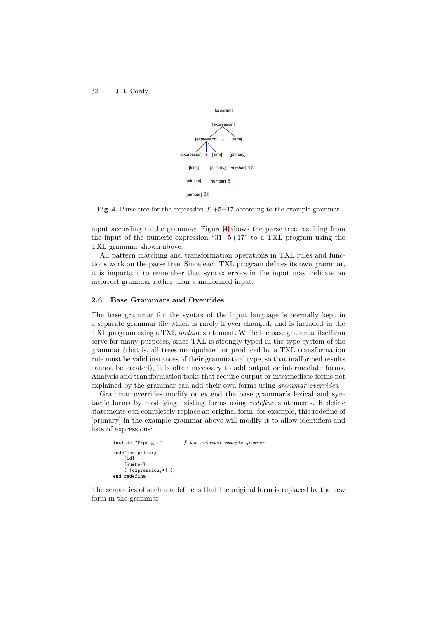

<span id="page-5-0"></span>**Fig. 4.** Parse tree for the expression 31+5+17 according to the example grammar

input according to the grammar. Figure [4](#page-5-0) shows the parse tree resulting from the input of the numeric expression " $31+5+17$ " to a TXL program using the TXL grammar shown above.

All pattern matching and transformation operations in TXL rules and functions work on the parse tree. Since each TXL program defines its own grammar, it is important to remember that syntax errors in the input may indicate an incorrect grammar rather than a malformed input.

#### **2.6 Base Grammars and Overrides**

The base grammar for the syntax of the input language is normally kept in a separate grammar file which is rarely if ever changed, and is included in the TXL program using a TXL *include* statement. While the base grammar itself can serve for many purposes, since TXL is strongly typed in the type system of the grammar (that is, all trees manipulated or produced by a TXL transformation rule must be valid instances of their grammatical type, so that malformed results cannot be created), it is often necessary to add output or intermediate forms. Analysis and transformation tasks that require output or intermediate forms not explained by the grammar can add their own forms using *grammar overrides*.

Grammar overrides modify or extend the base grammar's lexical and syntactic forms by modifying existing forms using *redefine* statements. Redefine statements can completely replace an original form, for example, this redefine of [primary] in the example grammar above will modify it to allow identifiers and lists of expressions:

```
include "Expr.grm" % the original example grammar
redefine primary
    [id]| [number]
  | ( [expression,+] )
end redefine
```
The semantics of such a redefine is that the original form is replaced by the new form in the grammar.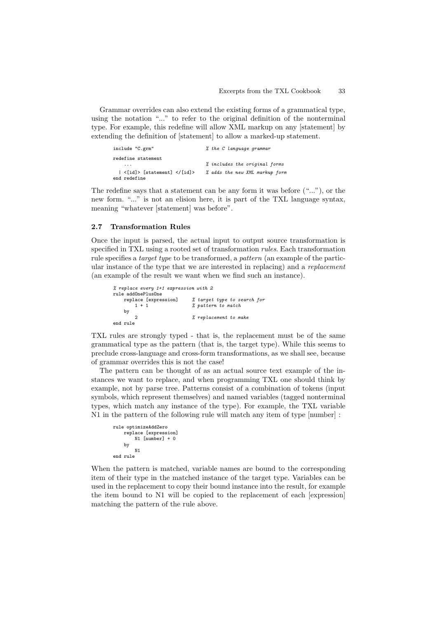Grammar overrides can also extend the existing forms of a grammatical type, using the notation "..." to refer to the original definition of the nonterminal type. For example, this redefine will allow XML markup on any [statement] by extending the definition of [statement] to allow a marked-up statement.

```
include "C.grm" % the C language grammar
redefine statement
                               ... % includes the original forms
  | <[id]> [statement] </[id]> % adds the new XML markup form
end redefine
```
The redefine says that a statement can be any form it was before ("..."), or the new form. "..." is not an elision here, it is part of the TXL language syntax, meaning "whatever [statement] was before".

### **2.7 Transformation Rules**

Once the input is parsed, the actual input to output source transformation is specified in TXL using a rooted set of transformation *rules*. Each transformation rule specifies a *target type* to be transformed, a *pattern* (an example of the particular instance of the type that we are interested in replacing) and a *replacement* (an example of the result we want when we find such an instance).

```
% replace every 1+1 expression with 2
rule addOnePlusOne
                          replace [expression] % target type to search for
      1+1 % pattern to match
   by
      2 % replacement to make
end rule
```
TXL rules are strongly typed - that is, the replacement must be of the same grammatical type as the pattern (that is, the target type). While this seems to preclude cross-language and cross-form transformations, as we shall see, because of grammar overrides this is not the case!

The pattern can be thought of as an actual source text example of the instances we want to replace, and when programming TXL one should think by example, not by parse tree. Patterns consist of a combination of tokens (input symbols, which represent themselves) and named variables (tagged nonterminal types, which match any instance of the type). For example, the TXL variable N1 in the pattern of the following rule will match any item of type [number] :

```
rule optimizeAddZero
    replace [expression]
        N1 [number] + 0
    by
        N1
end rule
```
When the pattern is matched, variable names are bound to the corresponding item of their type in the matched instance of the target type. Variables can be used in the replacement to copy their bound instance into the result, for example the item bound to N1 will be copied to the replacement of each [expression] matching the pattern of the rule above.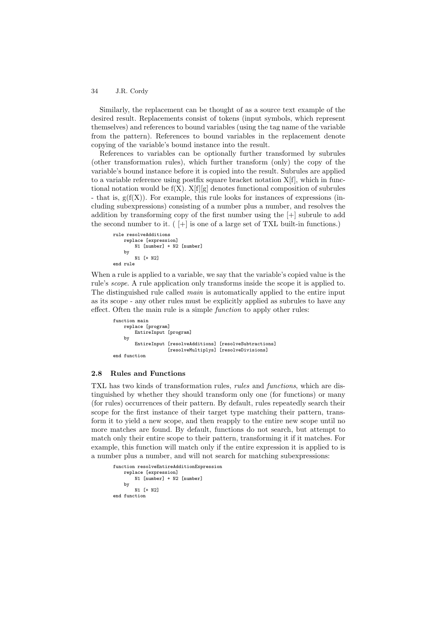Similarly, the replacement can be thought of as a source text example of the desired result. Replacements consist of tokens (input symbols, which represent themselves) and references to bound variables (using the tag name of the variable from the pattern). References to bound variables in the replacement denote copying of the variable's bound instance into the result.

References to variables can be optionally further transformed by subrules (other transformation rules), which further transform (only) the copy of the variable's bound instance before it is copied into the result. Subrules are applied to a variable reference using postfix square bracket notation X[f], which in functional notation would be  $f(X)$ .  $X[f][g]$  denotes functional composition of subrules - that is,  $g(f(X))$ . For example, this rule looks for instances of expressions (including subexpressions) consisting of a number plus a number, and resolves the addition by transforming copy of the first number using the [+] subrule to add the second number to it.  $($   $|+|$  is one of a large set of TXL built-in functions.)

```
rule resolveAdditions
    replace [expression]
       N1 [number] + N2 [number]
    by
        N1 [+ N2]
end rule
```
When a rule is applied to a variable, we say that the variable's copied value is the rule's *scope*. A rule application only transforms inside the scope it is applied to. The distinguished rule called *main* is automatically applied to the entire input as its scope - any other rules must be explicitly applied as subrules to have any effect. Often the main rule is a simple *function* to apply other rules:

| function main         |                                                      |
|-----------------------|------------------------------------------------------|
| replace [program]     |                                                      |
| EntireInput [program] |                                                      |
| by                    |                                                      |
|                       | EntireInput [resolveAdditions] [resolveSubtractions] |
|                       | [resolveMultiplys] [resolveDivisions]                |
| end function          |                                                      |

### **2.8 Rules and Functions**

TXL has two kinds of transformation rules, *rules* and *functions*, which are distinguished by whether they should transform only one (for functions) or many (for rules) occurrences of their pattern. By default, rules repeatedly search their scope for the first instance of their target type matching their pattern, transform it to yield a new scope, and then reapply to the entire new scope until no more matches are found. By default, functions do not search, but attempt to match only their entire scope to their pattern, transforming it if it matches. For example, this function will match only if the entire expression it is applied to is a number plus a number, and will not search for matching subexpressions:

```
function resolveEntireAdditionExpression
    replace [expression]
        N1 [number] + N2 [number]
    by
      N1 [+ N2]
end function
```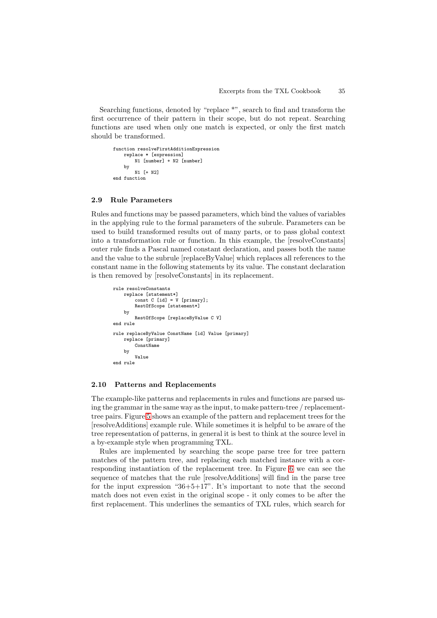Searching functions, denoted by "replace \*", search to find and transform the first occurrence of their pattern in their scope, but do not repeat. Searching functions are used when only one match is expected, or only the first match should be transformed.

```
function resolveFirstAdditionExpression
   replace * [expression]
       N1 [number] + N2 [number]
    by
       N1 [+ N2]end function
```
### **2.9 Rule Parameters**

Rules and functions may be passed parameters, which bind the values of variables in the applying rule to the formal parameters of the subrule. Parameters can be used to build transformed results out of many parts, or to pass global context into a transformation rule or function. In this example, the [resolveConstants] outer rule finds a Pascal named constant declaration, and passes both the name and the value to the subrule [replaceByValue] which replaces all references to the constant name in the following statements by its value. The constant declaration is then removed by [resolveConstants] in its replacement.

```
rule resolveConstants
    replace [statement*]
        const C [id] = V [primary];
        RestOfScope [statement*]
    by
        RestOfScope [replaceByValue C V]
end rule
rule replaceByValue ConstName [id] Value [primary]
    replace [primary]
        ConstName
    by
        Value
end rule
```
### **2.10 Patterns and Replacements**

The example-like patterns and replacements in rules and functions are parsed using the grammar in the same way as the input, to make pattern-tree / replacementtree pairs. Figure [5](#page-9-0) shows an example of the pattern and replacement trees for the [resolveAdditions] example rule. While sometimes it is helpful to be aware of the tree representation of patterns, in general it is best to think at the source level in a by-example style when programming TXL.

Rules are implemented by searching the scope parse tree for tree pattern matches of the pattern tree, and replacing each matched instance with a corresponding instantiation of the replacement tree. In Figure [6](#page-9-1) we can see the sequence of matches that the rule [resolveAdditions] will find in the parse tree for the input expression " $36+5+17$ ". It's important to note that the second match does not even exist in the original scope - it only comes to be after the first replacement. This underlines the semantics of TXL rules, which search for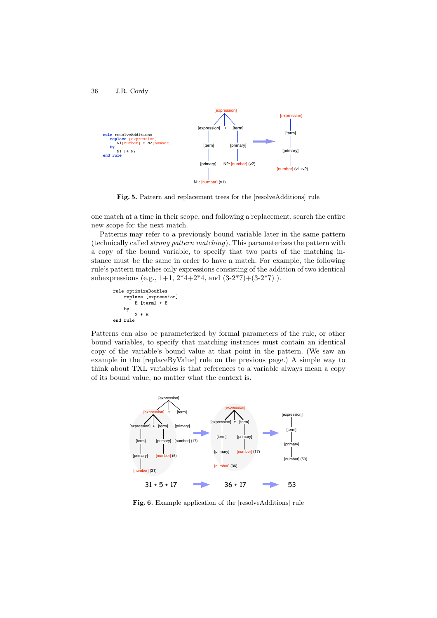



<span id="page-9-0"></span>**Fig. 5.** Pattern and replacement trees for the [resolveAdditions] rule

one match at a time in their scope, and following a replacement, search the entire new scope for the next match.

Patterns may refer to a previously bound variable later in the same pattern (technically called *strong pattern matching*). This parameterizes the pattern with a copy of the bound variable, to specify that two parts of the matching instance must be the same in order to have a match. For example, the following rule's pattern matches only expressions consisting of the addition of two identical subexpressions (e.g.,  $1+1$ ,  $2*4+2*4$ , and  $(3-2*7)+(3-2*7)$ ).

```
rule optimizeDoubles
    replace [expression]
        E [term] + E
    by
        2 * Eend rule
```
Patterns can also be parameterized by formal parameters of the rule, or other bound variables, to specify that matching instances must contain an identical copy of the variable's bound value at that point in the pattern. (We saw an example in the [replaceByValue] rule on the previous page.) A simple way to think about TXL variables is that references to a variable always mean a copy of its bound value, no matter what the context is.



<span id="page-9-1"></span>**Fig. 6.** Example application of the [resolveAdditions] rule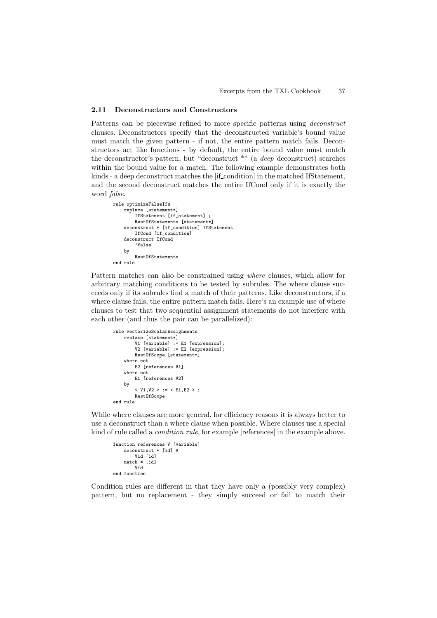### **2.11 Deconstructors and Constructors**

Patterns can be piecewise refined to more specific patterns using *deconstruct* clauses. Deconstructors specify that the deconstructed variable's bound value must match the given pattern - if not, the entire pattern match fails. Deconstructors act like functions - by default, the entire bound value must match the deconstructor's pattern, but "deconstruct \*" (a *deep* deconstruct) searches within the bound value for a match. The following example demonstrates both kinds - a deep deconstruct matches the [if condition] in the matched IfStatement, and the second deconstruct matches the entire IfCond only if it is exactly the word *false*.

```
rule optimizeFalseIfs
   replace [statement*]
        IfStatement [if_statement] ;
        RestOfStatements [statement*]
    deconstruct * [if condition] IfStatement
        IfCond [if_condition]
    deconstruct IfCond
        'false
    by
        RestOfStatements
end rule
```
Pattern matches can also be constrained using *where* clauses, which allow for arbitrary matching conditions to be tested by subrules. The where clause succeeds only if its subrules find a match of their patterns. Like deconstructors, if a where clause fails, the entire pattern match fails. Here's an example use of where clauses to test that two sequential assignment statements do not interfere with each other (and thus the pair can be parallelized):

```
rule vectorizeScalarAssignments
    replace [statement*]
          V1 [variable] := E1 [expression];
V2 [variable] := E2 [expression];
         RestOfScope [statement*]
     where not
         E2 [references V1]
     where not
         E1 [references V2]
    by
         < V1,V2 > := < E1,E2 > ;
         RestOfScope
end rule
```
While where clauses are more general, for efficiency reasons it is always better to use a deconstruct than a where clause when possible. Where clauses use a special kind of rule called a *condition rule*, for example [references] in the example above.

```
function references V [variable]
    deconstruct * [id] V
        Vid [id]
    match * [id]
        Vid
end function
```
Condition rules are different in that they have only a (possibly very complex) pattern, but no replacement - they simply succeed or fail to match their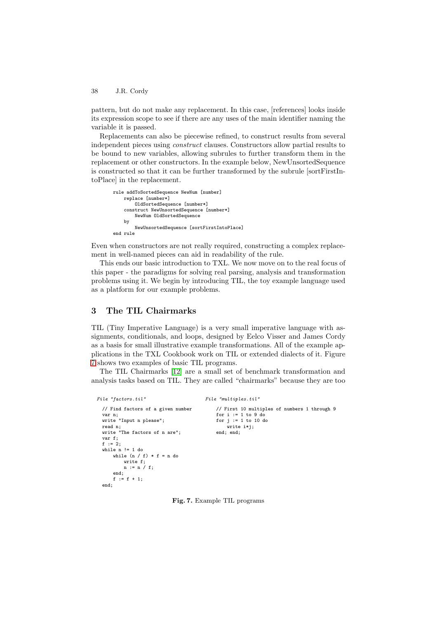pattern, but do not make any replacement. In this case, [references] looks inside its expression scope to see if there are any uses of the main identifier naming the variable it is passed.

Replacements can also be piecewise refined, to construct results from several independent pieces using *construct* clauses. Constructors allow partial results to be bound to new variables, allowing subrules to further transform them in the replacement or other constructors. In the example below, NewUnsortedSequence is constructed so that it can be further transformed by the subrule [sortFirstIntoPlace] in the replacement.

```
rule addToSortedSequence NewNum [number]
    replace [number*]
        OldSortedSequence [number*]
    construct NewUnsortedSequence [number*]
        NewNum OldSortedSequence
    by
        NewUnsortedSequence [sortFirstIntoPlace]
end rule
```
Even when constructors are not really required, constructing a complex replacement in well-named pieces can aid in readability of the rule.

This ends our basic introduction to TXL. We now move on to the real focus of this paper - the paradigms for solving real parsing, analysis and transformation problems using it. We begin by introducing TIL, the toy example language used as a platform for our example problems.

# **3 The TIL Chairmarks**

TIL (Tiny Imperative Language) is a very small imperative language with assignments, conditionals, and loops, designed by Eelco Visser and James Cordy as a basis for small illustrative example transformations. All of the example applications in the TXL Cookbook work on TIL or extended dialects of it. Figure [7](#page-11-0) shows two examples of basic TIL programs.

The TIL Chairmarks [\[12\]](#page-64-4) are a small set of benchmark transformation and analysis tasks based on TIL. They are called "chairmarks" because they are too

| File "factors.til"                                                                                                                                                                                                                 | File "multiples.til"                                                                                                     |
|------------------------------------------------------------------------------------------------------------------------------------------------------------------------------------------------------------------------------------|--------------------------------------------------------------------------------------------------------------------------|
| // Find factors of a given number<br>var n;<br>write "Input n please";<br>read n;<br>write "The factors of n are";<br>var f;<br>$f := 2;$<br>while $n := 1$ do<br>while $(n / f) * f = n$ do<br>write f;<br>$n := n / f$ ;<br>end; | // First 10 multiples of numbers 1 through 9<br>for $i := 1$ to 9 do<br>for $j := 1$ to 10 do<br>write i*i;<br>end; end; |
| $f := f + 1$ ;<br>end;                                                                                                                                                                                                             |                                                                                                                          |
|                                                                                                                                                                                                                                    |                                                                                                                          |

<span id="page-11-0"></span>**Fig. 7.** Example TIL programs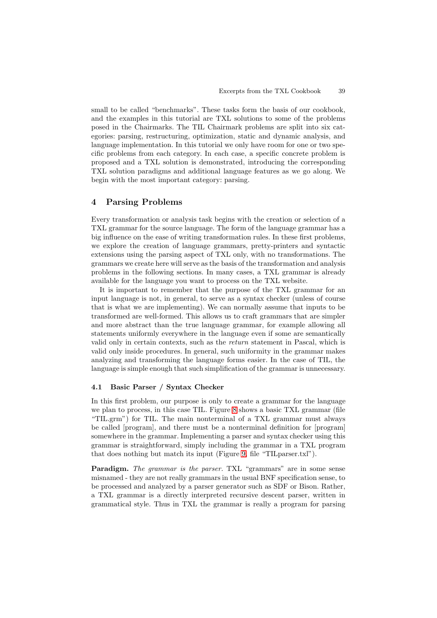small to be called "benchmarks". These tasks form the basis of our cookbook, and the examples in this tutorial are TXL solutions to some of the problems posed in the Chairmarks. The TIL Chairmark problems are split into six categories: parsing, restructuring, optimization, static and dynamic analysis, and language implementation. In this tutorial we only have room for one or two specific problems from each category. In each case, a specific concrete problem is proposed and a TXL solution is demonstrated, introducing the corresponding TXL solution paradigms and additional language features as we go along. We begin with the most important category: parsing.

### <span id="page-12-0"></span>**4 Parsing Problems**

Every transformation or analysis task begins with the creation or selection of a TXL grammar for the source language. The form of the language grammar has a big influence on the ease of writing transformation rules. In these first problems, we explore the creation of language grammars, pretty-printers and syntactic extensions using the parsing aspect of TXL only, with no transformations. The grammars we create here will serve as the basis of the transformation and analysis problems in the following sections. In many cases, a TXL grammar is already available for the language you want to process on the TXL website.

It is important to remember that the purpose of the TXL grammar for an input language is not, in general, to serve as a syntax checker (unless of course that is what we are implementing). We can normally assume that inputs to be transformed are well-formed. This allows us to craft grammars that are simpler and more abstract than the true language grammar, for example allowing all statements uniformly everywhere in the language even if some are semantically valid only in certain contexts, such as the *return* statement in Pascal, which is valid only inside procedures. In general, such uniformity in the grammar makes analyzing and transforming the language forms easier. In the case of TIL, the language is simple enough that such simplification of the grammar is unnecessary.

### **4.1 Basic Parser / Syntax Checker**

In this first problem, our purpose is only to create a grammar for the language we plan to process, in this case TIL. Figure [8](#page-13-0) shows a basic TXL grammar (file "TIL.grm") for TIL. The main nonterminal of a TXL grammar must always be called [program], and there must be a nonterminal definition for [program] somewhere in the grammar. Implementing a parser and syntax checker using this grammar is straightforward, simply including the grammar in a TXL program that does nothing but match its input (Figure [9,](#page-14-0) file "TILparser.txl").

**Paradigm.** *The grammar is the parser.* TXL "grammars" are in some sense misnamed - they are not really grammars in the usual BNF specification sense, to be processed and analyzed by a parser generator such as SDF or Bison. Rather, a TXL grammar is a directly interpreted recursive descent parser, written in grammatical style. Thus in TXL the grammar is really a program for parsing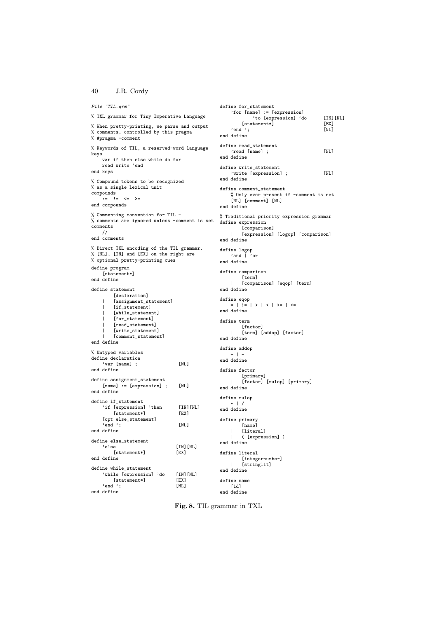*File "TIL.grm"* % TXL grammar for Tiny Imperative Language % When pretty-printing, we parse and output % comments, controlled by this pragma % #pragma -comment % Keywords of TIL, a reserved-word language keys var if then else while do for read write 'end end keys % Compound tokens to be recognized % as a single lexical unit compounds := != <= >= end compounds % Commenting convention for TIL - % comments are ignored unless -comment is set comments // end comments % Direct TXL encoding of the TIL grammar. % [NL], [IN] and [EX] on the right are % optional pretty-printing cues define program [statement\*] end define define statement [declaration] | [assignment\_statement] [if\_statement] [while\_statement] | [for\_statement] | [read\_statement] | [write\_statement] | [comment\_statement] end define % Untyped variables define declaration 'var [name] ; [NL] end define define assignment\_statement [name]  $=$  [expression] ; [NL] end define define if\_statement <sup>'</sup>if [expression] 'then [IN][NL]<br>
[statement\*] [EX] [statement\*] [opt else\_statement]  $\text{'end'}$ ;  $\text{[NL]}$ end define define else\_statement<br>'else [IN][NL]<br>[EX]  $[{\tt statement*}]$ end define define while statement 'while [expression] 'do [IN][NL]<br>[statement\*] [EX] [statement\*] [EX]<br>
nd '; [NL]  $'$ end  $'$ ; end define

define for\_statement 'for [name] := [expression] 'to [expression] 'do [IN][NL]  $[$  statement\*]  $[$   $E[X]$ <br>d  $'$ ;  $[$   $[$   $E]$  $'$ end  $'$ ; end define define read\_statement 'read [name] ; [NL] end define define write\_statement 'write [expression] ; [NL] end define define comment\_statement % Only ever present if -comment is set [NL] [comment] [NL] end define % Traditional priority expression grammar define expression [comparison] | [expression] [logop] [comparison] end define define logop 'and | 'or end define define comparison<br>
[term] [term] | [comparison] [eqop] [term] end define define eqop = | != | > | < | >= | <= end define define term [factor] | [term] [addop] [factor] end define define addop +| end define define factor [primary] | [factor] [mulop] [primary] end define define mulop \*|/ end define define primary [name] <sub>[name]</sub><br>[literal] ( [expression] ) end define define literal [integernumber] | [stringlit] end define define name  $[id]$ end define

<span id="page-13-0"></span>**Fig. 8.** TIL grammar in TXL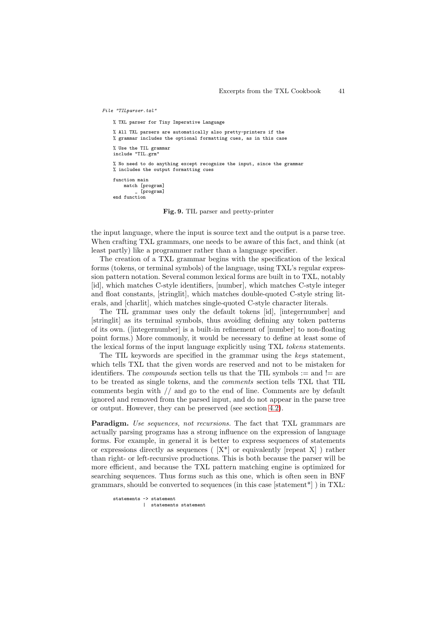*File "TILparser.txl"*

```
% TXL parser for Tiny Imperative Language
% All TXL parsers are automatically also pretty-printers if the
% grammar includes the optional formatting cues, as in this case
% Use the TIL grammar
include "TIL.grm"
% No need to do anything except recognize the input, since the grammar
% includes the output formatting cues
function main
    match [program]
        _ [program]
end function
```
<span id="page-14-0"></span>**Fig. 9.** TIL parser and pretty-printer

the input language, where the input is source text and the output is a parse tree. When crafting TXL grammars, one needs to be aware of this fact, and think (at least partly) like a programmer rather than a language specifier.

The creation of a TXL grammar begins with the specification of the lexical forms (tokens, or terminal symbols) of the language, using TXL's regular expression pattern notation. Several common lexical forms are built in to TXL, notably [id], which matches C-style identifiers, [number], which matches C-style integer and float constants, [stringlit], which matches double-quoted C-style string literals, and [charlit], which matches single-quoted C-style character literals.

The TIL grammar uses only the default tokens [id], [integernumber] and [stringlit] as its terminal symbols, thus avoiding defining any token patterns of its own. ([integernumber] is a built-in refinement of [number] to non-floating point forms.) More commonly, it would be necessary to define at least some of the lexical forms of the input language explicitly using TXL *tokens* statements.

The TIL keywords are specified in the grammar using the *keys* statement, which tells TXL that the given words are reserved and not to be mistaken for identifiers. The *compounds* section tells us that the TIL symbols  $:=$  and  $!=$  are to be treated as single tokens, and the *comments* section tells TXL that TIL comments begin with // and go to the end of line. Comments are by default ignored and removed from the parsed input, and do not appear in the parse tree or output. However, they can be preserved (see section [4.2\)](#page-15-0).

**Paradigm.** *Use sequences, not recursions.* The fact that TXL grammars are actually parsing programs has a strong influence on the expression of language forms. For example, in general it is better to express sequences of statements or expressions directly as sequences ( $[X^*]$  or equivalently [repeat X] ) rather than right- or left-recursive productions. This is both because the parser will be more efficient, and because the TXL pattern matching engine is optimized for searching sequences. Thus forms such as this one, which is often seen in BNF grammars, should be converted to sequences (in this case [statement\*] ) in TXL:

```
statements -> statement
          | statements statement
```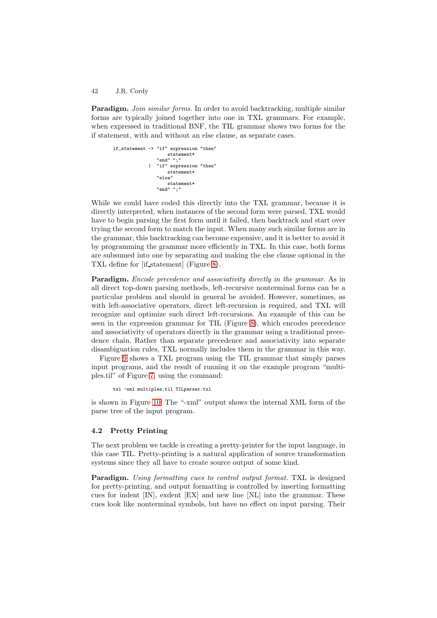**Paradigm.** *Join similar forms.* In order to avoid backtracking, multiple similar forms are typically joined together into one in TXL grammars. For example, when expressed in traditional BNF, the TIL grammar shows two forms for the if statement, with and without an else clause, as separate cases.

```
if_statement -> "if" expression "then"
                    statement*
                "end" ";"
             | "if" expression "then"
                   statement*
                "else"
                   statement*
                "end" ";"
```
While we could have coded this directly into the TXL grammar, because it is directly interpreted, when instances of the second form were parsed, TXL would have to begin parsing the first form until it failed, then backtrack and start over trying the second form to match the input. When many such similar forms are in the grammar, this backtracking can become expensive, and it is better to avoid it by programming the grammar more efficiently in TXL. In this case, both forms are subsumed into one by separating and making the else clause optional in the TXL define for [if\_statement] (Figure [8\)](#page-13-0).

**Paradigm.** *Encode precedence and associativity directly in the grammar.* As in all direct top-down parsing methods, left-recursive nonterminal forms can be a particular problem and should in general be avoided. However, sometimes, as with left-associative operators, direct left-recursion is required, and TXL will recognize and optimize such direct left-recursions. An example of this can be seen in the expression grammar for TIL (Figure [8\)](#page-13-0), which encodes precedence and associativity of operators directly in the grammar using a traditional precedence chain. Rather than separate precedence and associativity into separate disambiguation rules, TXL normally includes them in the grammar in this way.

Figure [9](#page-14-0) shows a TXL program using the TIL grammar that simply parses input programs, and the result of running it on the example program "multiples.til" of Figure [7,](#page-11-0) using the command:

txl -xml multiples.til TILparser.txl

is shown in Figure [10.](#page-16-0) The "-xml" output shows the internal XML form of the parse tree of the input program.

### <span id="page-15-0"></span>**4.2 Pretty Printing**

The next problem we tackle is creating a pretty-printer for the input language, in this case TIL. Pretty-printing is a natural application of source transformation systems since they all have to create source output of some kind.

**Paradigm.** *Using formatting cues to control output format.* TXL is designed for pretty-printing, and output formatting is controlled by inserting formatting cues for indent [IN], exdent [EX] and new line [NL] into the grammar. These cues look like nonterminal symbols, but have no effect on input parsing. Their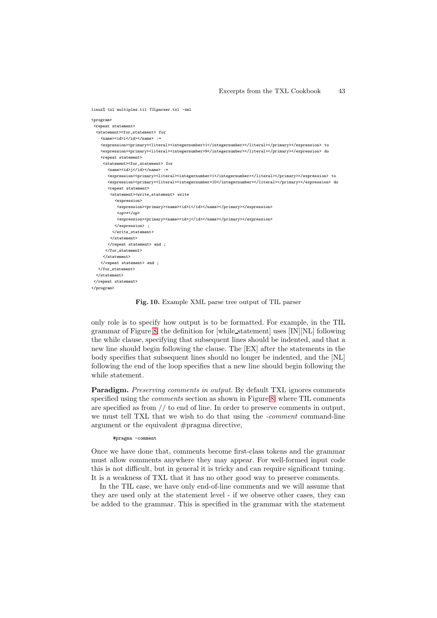```
linux% txl multiples.til TILparser.txl -xml
<program>
 <repeat statement>
  <statement><for_statement> for
    <name><id>i</id></name> :=
    <expression><primary><literal><integernumber>1</integernumber></literal></primary></expression> to
    <expression><primary><literal><integernumber>9</integernumber></literal></primary></expression> do
    <repeat statement>
     <statement><for_statement> for
       <name><id>i</id></name> :=
       <expression><primary><literal><integernumber>1</integernumber></literal></primary></expression> to
       <expression><primary><literal><integernumber>10</integernumber></literal></primary></expression> do
       <repeat statement>
        <statement><write_statement> write
          <expression>
           <expression><primary><name><id>i</id></name></primary></expression>
           <op>*</op>
           <expression><primary><name><id>j</id></name></primary></expression>
          </expression> ;
         </write_statement>
        </statement>
       \mbox{\texttt{</repeat}} statement> end ;
      </for_statement>
     \epsilon/statement>
    </repeat statement> end ;
   </for_statement>
  \zeta/statement>
 </repeat statement>
</program>
```
<span id="page-16-0"></span>**Fig. 10.** Example XML parse tree output of TIL parser

only role is to specify how output is to be formatted. For example, in the TIL grammar of Figure [8,](#page-13-0) the definition for [while statement] uses [IN][NL] following the while clause, specifying that subsequent lines should be indented, and that a new line should begin following the clause. The [EX] after the statements in the body specifies that subsequent lines should no longer be indented, and the [NL] following the end of the loop specifies that a new line should begin following the while statement.

**Paradigm.** *Preserving comments in output.* By default TXL ignores comments specified using the *comments* section as shown in Figure [8,](#page-13-0) where TIL comments are specified as from // to end of line. In order to preserve comments in output, we must tell TXL that we wish to do that using the *-comment* command-line argument or the equivalent #pragma directive,

#pragma -comment

Once we have done that, comments become first-class tokens and the grammar must allow comments anywhere they may appear. For well-formed input code this is not difficult, but in general it is tricky and can require significant tuning. It is a weakness of TXL that it has no other good way to preserve comments.

In the TIL case, we have only end-of-line comments and we will assume that they are used only at the statement level - if we observe other cases, they can be added to the grammar. This is specified in the grammar with the statement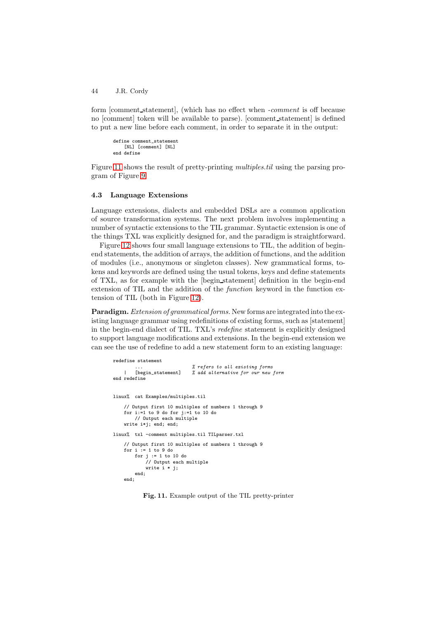form [comment statement], (which has no effect when *-comment* is off because no [comment] token will be available to parse). [comment statement] is defined to put a new line before each comment, in order to separate it in the output:

```
define comment_statement
    [NL] [comment] [NL]
end define
```
Figure [11](#page-17-0) shows the result of pretty-printing *multiples.til* using the parsing program of Figure [9.](#page-14-0)

#### **4.3 Language Extensions**

Language extensions, dialects and embedded DSLs are a common application of source transformation systems. The next problem involves implementing a number of syntactic extensions to the TIL grammar. Syntactic extension is one of the things TXL was explicitly designed for, and the paradigm is straightforward.

Figure [12](#page-18-0) shows four small language extensions to TIL, the addition of beginend statements, the addition of arrays, the addition of functions, and the addition of modules (i.e., anonymous or singleton classes). New grammatical forms, tokens and keywords are defined using the usual tokens, keys and define statements of TXL, as for example with the [begin statement] definition in the begin-end extension of TIL and the addition of the *function* keyword in the function extension of TIL (both in Figure [12\)](#page-18-0).

**Paradigm.** *Extension of grammatical forms.* New forms are integrated into the existing language grammar using redefinitions of existing forms, such as [statement] in the begin-end dialect of TIL. TXL's *redefine* statement is explicitly designed to support language modifications and extensions. In the begin-end extension we can see the use of redefine to add a new statement form to an existing language:

```
redefine statement
    ... % refers to all existing forms
                             | [begin_statement] % add alternative for our new form
end redefine
linux% cat Examples/multiples.til
    // Output first 10 multiples of numbers 1 through 9
    for i:=1 to 9 do for j:=1 to 10 do
        // Output each multiple
    write i*j; end; end;
linux% txl -comment multiples.til TILparser.txl
    // Output first 10 multiples of numbers 1 through 9
    for i := 1 to 9 do
        for j := 1 to 10 do
            // Output each multiple
            write i * j;
        end;
    end;
```
<span id="page-17-0"></span>**Fig. 11.** Example output of the TIL pretty-printer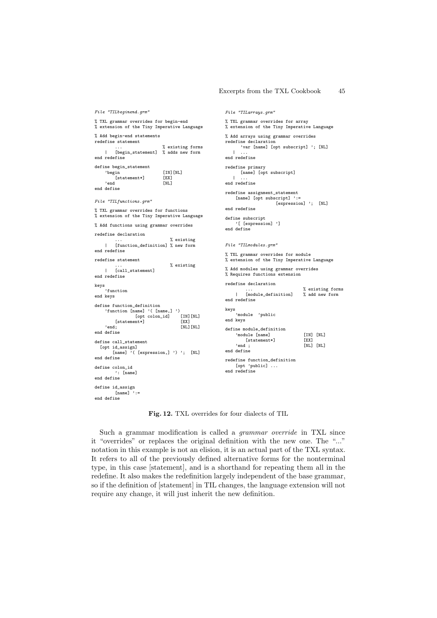```
File "TILbeginend.grm"
% TXL grammar overrides for begin-end
% extension of the Tiny Imperative Language
% Add begin-end statements
redefine statement
    ... % existing forms
| [begin_statement] % adds new form
end redefine
define begin_statement
    'begin [IN][NL]
       [statement*] [EX]<br>d [NL]
    'end
end define
File "TILfunctions.grm"
% TXL grammar overrides for functions
% extension of the Tiny Imperative Language
% Add functions using grammar overrides
redefine declaration
                               % existing
      | [function_definition] % new form
end redefine
redefine statement
                               % existing
    |<br>| [call_statement]
end redefine
keys
'function
end keys
define function_definition
    'function [name] '( [name,] ')
        [opt colon_id] [IN][NL]<br>[statement*] [EX]
    end: [Statement+] [EA]<br>end: [NL][NL][NL]
end define
define call_statement
  [opt id_assign]
       [name] '( [expression,] ') '; [NL]
end define
define colon_id
        ': [name]
end define
define id_assign
[name] ':=
end define
```

```
File "TILarrays.grm"
% TXL grammar overrides for array
% extension of the Tiny Imperative Language
% Add arrays using grammar overrides
redefine declaration
     'var [name] [opt subscript] '; [NL]
   \mathbf{I}end redefine
redefine primary
    [name] [opt subscript]
| ...
end redefine
redefine assignment_statement
    [name] [opt subscript] ':=
                     [expression] '; [NL]
end redefine
define subscript
    '[ [expression] ']
end define
File "TILmodules.grm"
% TXL grammar overrides for module
% extension of the Tiny Imperative Language
% Add modules using grammar overrides
% Requires functions extension
redefine declaration
                                 % existing forms<br>% add new form
    | [module_definition]
end redefine
keys
'module 'public
end keys
define module_definition
    'module [name] [IN] [NL]<br>[statement*] [EX]
     [statement*][NL] [NL]end define
redefine function_definition
    [opt 'public] ...
end redefine
```
<span id="page-18-0"></span>**Fig. 12.** TXL overrides for four dialects of TIL

Such a grammar modification is called a *grammar override* in TXL since it "overrides" or replaces the original definition with the new one. The "..." notation in this example is not an elision, it is an actual part of the TXL syntax. It refers to all of the previously defined alternative forms for the nonterminal type, in this case [statement], and is a shorthand for repeating them all in the redefine. It also makes the redefinition largely independent of the base grammar, so if the definition of [statement] in TIL changes, the language extension will not require any change, it will just inherit the new definition.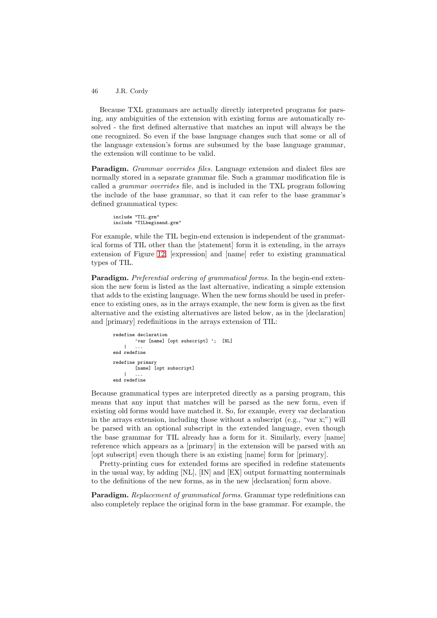Because TXL grammars are actually directly interpreted programs for parsing, any ambiguities of the extension with existing forms are automatically resolved - the first defined alternative that matches an input will always be the one recognized. So even if the base language changes such that some or all of the language extension's forms are subsumed by the base language grammar, the extension will continue to be valid.

**Paradigm.** *Grammar overrides files.* Language extension and dialect files are normally stored in a separate grammar file. Such a grammar modification file is called a *grammar overrides* file, and is included in the TXL program following the include of the base grammar, so that it can refer to the base grammar's defined grammatical types:

include "TIL.grm" include "TILbeginend.grm"

For example, while the TIL begin-end extension is independent of the grammatical forms of TIL other than the [statement] form it is extending, in the arrays extension of Figure [12,](#page-18-0) [expression] and [name] refer to existing grammatical types of TIL.

**Paradigm.** *Preferential ordering of grammatical forms.* In the begin-end extension the new form is listed as the last alternative, indicating a simple extension that adds to the existing language. When the new forms should be used in preference to existing ones, as in the arrays example, the new form is given as the first alternative and the existing alternatives are listed below, as in the [declaration] and [primary] redefinitions in the arrays extension of TIL:

```
redefine declaration
        'var [name] [opt subscript] '; [NL]
| ...
end redefine
redefine primary
      [name] [opt subscript]
    \|end redefine
```
Because grammatical types are interpreted directly as a parsing program, this means that any input that matches will be parsed as the new form, even if existing old forms would have matched it. So, for example, every var declaration in the arrays extension, including those without a subscript (e.g., "var  $x$ ;") will be parsed with an optional subscript in the extended language, even though the base grammar for TIL already has a form for it. Similarly, every [name] reference which appears as a [primary] in the extension will be parsed with an [opt subscript] even though there is an existing [name] form for [primary].

Pretty-printing cues for extended forms are specified in redefine statements in the usual way, by adding [NL], [IN] and [EX] output formatting nonterminals to the definitions of the new forms, as in the new [declaration] form above.

**Paradigm.** *Replacement of grammatical forms.* Grammar type redefinitions can also completely replace the original form in the base grammar. For example, the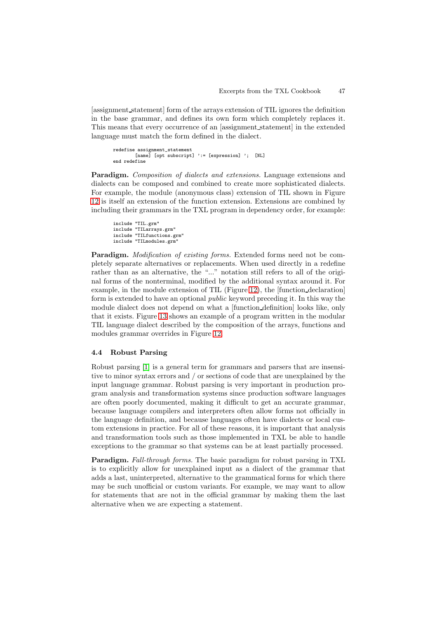[assignment statement] form of the arrays extension of TIL ignores the definition in the base grammar, and defines its own form which completely replaces it. This means that every occurrence of an [assignment statement] in the extended language must match the form defined in the dialect.

```
redefine assignment_statement
        [name] [opt subscript] ':= [expression] '; [NL]
end redefine
```
**Paradigm.** *Composition of dialects and extensions.* Language extensions and dialects can be composed and combined to create more sophisticated dialects. For example, the module (anonymous class) extension of TIL shown in Figure [12](#page-18-0) is itself an extension of the function extension. Extensions are combined by including their grammars in the TXL program in dependency order, for example:

include "TIL.grm" include "TILarrays.grm" include "TILfunctions.grm" include "TILmodules.grm"

**Paradigm.** *Modification of existing forms.* Extended forms need not be completely separate alternatives or replacements. When used directly in a redefine rather than as an alternative, the "..." notation still refers to all of the original forms of the nonterminal, modified by the additional syntax around it. For example, in the module extension of TIL (Figure [12\)](#page-18-0), the [function declaration] form is extended to have an optional *public* keyword preceding it. In this way the module dialect does not depend on what a [function definition] looks like, only that it exists. Figure [13](#page-21-0) shows an example of a program written in the modular TIL language dialect described by the composition of the arrays, functions and modules grammar overrides in Figure [12.](#page-18-0)

### **4.4 Robust Parsing**

Robust parsing [\[1\]](#page-63-7) is a general term for grammars and parsers that are insensitive to minor syntax errors and / or sections of code that are unexplained by the input language grammar. Robust parsing is very important in production program analysis and transformation systems since production software languages are often poorly documented, making it difficult to get an accurate grammar, because language compilers and interpreters often allow forms not officially in the language definition, and because languages often have dialects or local custom extensions in practice. For all of these reasons, it is important that analysis and transformation tools such as those implemented in TXL be able to handle exceptions to the grammar so that systems can be at least partially processed.

**Paradigm.** *Fall-through forms.* The basic paradigm for robust parsing in TXL is to explicitly allow for unexplained input as a dialect of the grammar that adds a last, uninterpreted, alternative to the grammatical forms for which there may be such unofficial or custom variants. For example, we may want to allow for statements that are not in the official grammar by making them the last alternative when we are expecting a statement.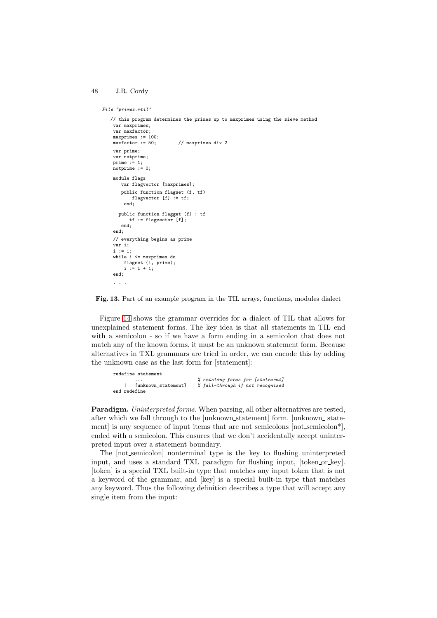```
File "primes.mtil"
```

```
// this program determines the primes up to maxprimes using the sieve method
var maxprimes;
var maxfactor;
maxprimes := 100;
maxfactor := 50; // maxprimes div 2
var prime;
var notprime;
prime := 1;notprime := 0;
module flags
   var flagvector [maxprimes];
   public function flagset (f, tf)
       flagvector [f] := tf;
     end;
  public function flagget (f) : tf
      tf := flagvector [f];
   end;
end;
 // everything begins as prime
 var i;
 i := 1;
 while i <= maxprimes do
    flagset (i, prime);
    i := i + 1;end;
 ...
```
#### <span id="page-21-0"></span>**Fig. 13.** Part of an example program in the TIL arrays, functions, modules dialect

Figure [14](#page-22-0) shows the grammar overrides for a dialect of TIL that allows for unexplained statement forms. The key idea is that all statements in TIL end with a semicolon - so if we have a form ending in a semicolon that does not match any of the known forms, it must be an unknown statement form. Because alternatives in TXL grammars are tried in order, we can encode this by adding the unknown case as the last form for [statement]:

|              | redefine statement                |                                                                      |
|--------------|-----------------------------------|----------------------------------------------------------------------|
| end redefine | $\cdots$<br>  [unknown_statement] | % existing forms for [statement]<br>% fall-through if not recognized |

**Paradigm.** *Uninterpreted forms.* When parsing, all other alternatives are tested, after which we fall through to the [unknown statement] form. [unknown statement] is any sequence of input items that are not semicolons [not semicolon\*], ended with a semicolon. This ensures that we don't accidentally accept uninterpreted input over a statement boundary.

The [not semicolon] nonterminal type is the key to flushing uninterpreted input, and uses a standard TXL paradigm for flushing input, [token or key]. [token] is a special TXL built-in type that matches any input token that is not a keyword of the grammar, and [key] is a special built-in type that matches any keyword. Thus the following definition describes a type that will accept any single item from the input: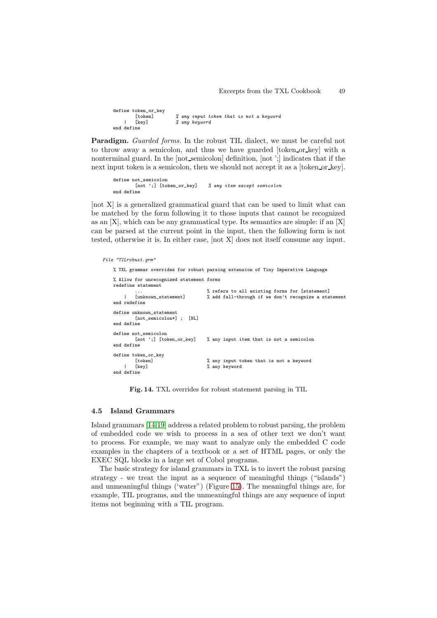```
define token_or_key<br>[token]
                          [token] % any input token that is not a keyword
         | [key] % any keyword
end define
```
**Paradigm.** *Guarded forms.* In the robust TIL dialect, we must be careful not to throw away a semicolon, and thus we have guarded [token or key] with a nonterminal guard. In the [not\_semicolon] definition, [not ':] indicates that if the next input token is a semicolon, then we should not accept it as a [token or key].

```
define not_semicolon
        [not ';] [token_or_key] % any item except semicolon
end define
```
[not X] is a generalized grammatical guard that can be used to limit what can be matched by the form following it to those inputs that cannot be recognized as an  $[X]$ , which can be any grammatical type. Its semantics are simple: if an  $[X]$ can be parsed at the current point in the input, then the following form is not tested, otherwise it is. In either case, [not X] does not itself consume any input.

```
File "TILrobust.grm"
```

```
% TXL grammar overrides for robust parsing extension of Tiny Imperative Language
% Allow for unrecognized statement forms
redefine statement
        ... \% refers to all existing forms for [statement]<br>[unknown statement] \% add fall-through if we don't recognize a sta
                                     % add fall-through if we don't recognize a statement
end redefine
define unknown_statement
        [not_semicolon*] ; [NL]
end define
define not_semicolon<br>[not ';] [token_or_key]
                                    % any input item that is not a semicolon
end define
define token_or_key
        [token] % any input token that is not a keyword
    | [key] % any keyword
end define
```
<span id="page-22-0"></span>**Fig. 14.** TXL overrides for robust statement parsing in TIL

#### **4.5 Island Grammars**

Island grammars [\[14](#page-64-5)[,19\]](#page-64-6) address a related problem to robust parsing, the problem of embedded code we wish to process in a sea of other text we don't want to process. For example, we may want to analyze only the embedded C code examples in the chapters of a textbook or a set of HTML pages, or only the EXEC SQL blocks in a large set of Cobol programs.

The basic strategy for island grammars in TXL is to invert the robust parsing strategy - we treat the input as a sequence of meaningful things ("islands") and unmeaningful things ('water") (Figure [15\)](#page-23-0). The meaningful things are, for example, TIL programs, and the unmeaningful things are any sequence of input items not beginning with a TIL program.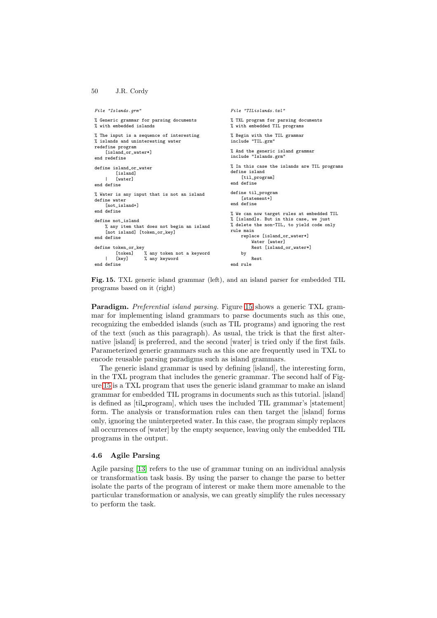```
File "Islands.grm"
% Generic grammar for parsing documents
% with embedded islands
% The input is a sequence of interesting
% islands and uninteresting water
redefine program
    [island_or_water*]
end redefine
define island_or_water
         [island]
        [water]
end define
% Water is any input that is not an island
define water
    [not_island+]
end define
define not_island
    % any item that does not begin an island
    [not island] [token_or_key]
end define
define token_or_key<br>[token]
        [token] % any token not a keyword<br>[key] % any keyword
                     % any keyword
end define
                                                         File "TILislands.txl"
                                                         % TXL program for parsing documents
                                                         % with embedded TIL programs
                                                         % Begin with the TIL grammar
                                                         include "TIL.grm"
                                                         % And the generic island grammar
                                                         include "Islands.grm"
                                                         % In this case the islands are TIL programs
                                                         define island
                                                             [til_program]
                                                         end define
                                                         define til_program
                                                             [statement+]
                                                         end define
                                                         % We can now target rules at embedded TIL
                                                         % [island]s. But in this case, we just
% delete the non-TIL, to yield code only
                                                         rule main
                                                             replace [island_or_water*]
                                                                  Water [water]
                                                                  Rest [island_or_water*]
                                                             by
                                                                 Rest
                                                         end rule
```
<span id="page-23-0"></span>**Fig. 15.** TXL generic island grammar (left), and an island parser for embedded TIL programs based on it (right)

**Paradigm.** *Preferential island parsing.* Figure [15](#page-23-0) shows a generic TXL grammar for implementing island grammars to parse documents such as this one, recognizing the embedded islands (such as TIL programs) and ignoring the rest of the text (such as this paragraph). As usual, the trick is that the first alternative [island] is preferred, and the second [water] is tried only if the first fails. Parameterized generic grammars such as this one are frequently used in TXL to encode reusable parsing paradigms such as island grammars.

The generic island grammar is used by defining [island], the interesting form, in the TXL program that includes the generic grammar. The second half of Figure [15](#page-23-0) is a TXL program that uses the generic island grammar to make an island grammar for embedded TIL programs in documents such as this tutorial. [island] is defined as [til program], which uses the included TIL grammar's [statement] form. The analysis or transformation rules can then target the [island] forms only, ignoring the uninterpreted water. In this case, the program simply replaces all occurrences of [water] by the empty sequence, leaving only the embedded TIL programs in the output.

### **4.6 Agile Parsing**

Agile parsing [\[13\]](#page-64-7) refers to the use of grammar tuning on an individual analysis or transformation task basis. By using the parser to change the parse to better isolate the parts of the program of interest or make them more amenable to the particular transformation or analysis, we can greatly simplify the rules necessary to perform the task.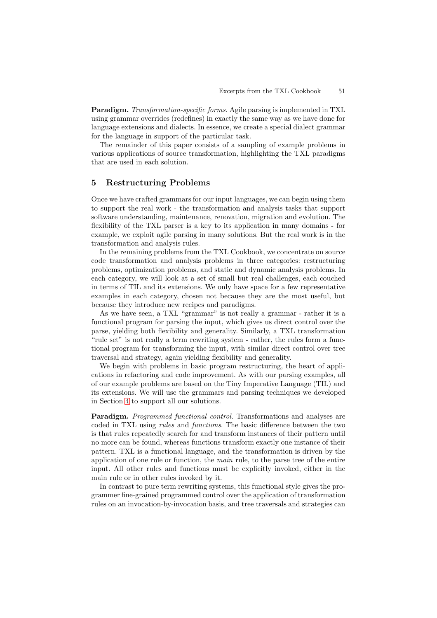**Paradigm.** *Transformation-specific forms.* Agile parsing is implemented in TXL using grammar overrides (redefines) in exactly the same way as we have done for language extensions and dialects. In essence, we create a special dialect grammar for the language in support of the particular task.

The remainder of this paper consists of a sampling of example problems in various applications of source transformation, highlighting the TXL paradigms that are used in each solution.

### **5 Restructuring Problems**

Once we have crafted grammars for our input languages, we can begin using them to support the real work - the transformation and analysis tasks that support software understanding, maintenance, renovation, migration and evolution. The flexibility of the TXL parser is a key to its application in many domains - for example, we exploit agile parsing in many solutions. But the real work is in the transformation and analysis rules.

In the remaining problems from the TXL Cookbook, we concentrate on source code transformation and analysis problems in three categories: restructuring problems, optimization problems, and static and dynamic analysis problems. In each category, we will look at a set of small but real challenges, each couched in terms of TIL and its extensions. We only have space for a few representative examples in each category, chosen not because they are the most useful, but because they introduce new recipes and paradigms.

As we have seen, a TXL "grammar" is not really a grammar - rather it is a functional program for parsing the input, which gives us direct control over the parse, yielding both flexibility and generality. Similarly, a TXL transformation "rule set" is not really a term rewriting system - rather, the rules form a functional program for transforming the input, with similar direct control over tree traversal and strategy, again yielding flexibility and generality.

We begin with problems in basic program restructuring, the heart of applications in refactoring and code improvement. As with our parsing examples, all of our example problems are based on the Tiny Imperative Language (TIL) and its extensions. We will use the grammars and parsing techniques we developed in Section [4](#page-12-0) to support all our solutions.

**Paradigm.** *Programmed functional control.* Transformations and analyses are coded in TXL using *rules* and *functions*. The basic difference between the two is that rules repeatedly search for and transform instances of their pattern until no more can be found, whereas functions transform exactly one instance of their pattern. TXL is a functional language, and the transformation is driven by the application of one rule or function, the *main* rule, to the parse tree of the entire input. All other rules and functions must be explicitly invoked, either in the main rule or in other rules invoked by it.

In contrast to pure term rewriting systems, this functional style gives the programmer fine-grained programmed control over the application of transformation rules on an invocation-by-invocation basis, and tree traversals and strategies can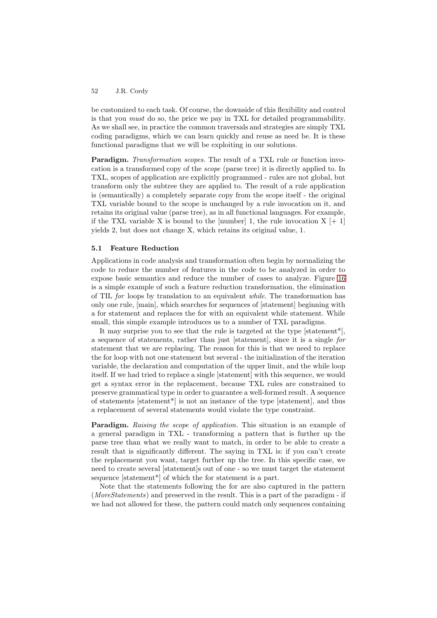be customized to each task. Of course, the downside of this flexibility and control is that you *must* do so, the price we pay in TXL for detailed programmability. As we shall see, in practice the common traversals and strategies are simply TXL coding paradigms, which we can learn quickly and reuse as need be. It is these functional paradigms that we will be exploiting in our solutions.

**Paradigm.** *Transformation scopes.* The result of a TXL rule or function invocation is a transformed copy of the *scope* (parse tree) it is directly applied to. In TXL, scopes of application are explicitly programmed - rules are not global, but transform only the subtree they are applied to. The result of a rule application is (semantically) a completely separate copy from the scope itself - the original TXL variable bound to the scope is unchanged by a rule invocation on it, and retains its original value (parse tree), as in all functional languages. For example, if the TXL variable X is bound to the [number] 1, the rule invocation  $X \neq 1$ ] yields 2, but does not change X, which retains its original value, 1.

#### **5.1 Feature Reduction**

Applications in code analysis and transformation often begin by normalizing the code to reduce the number of features in the code to be analyzed in order to expose basic semantics and reduce the number of cases to analyze. Figure [16](#page-26-0) is a simple example of such a feature reduction transformation, the elimination of TIL *for* loops by translation to an equivalent *while*. The transformation has only one rule, [main], which searches for sequences of [statement] beginning with a for statement and replaces the for with an equivalent while statement. While small, this simple example introduces us to a number of TXL paradigms.

It may surprise you to see that the rule is targeted at the type [statement\*], a sequence of statements, rather than just [statement], since it is a single *for* statement that we are replacing. The reason for this is that we need to replace the for loop with not one statement but several - the initialization of the iteration variable, the declaration and computation of the upper limit, and the while loop itself. If we had tried to replace a single [statement] with this sequence, we would get a syntax error in the replacement, because TXL rules are constrained to preserve grammatical type in order to guarantee a well-formed result. A sequence of statements [statement\*] is not an instance of the type [statement], and thus a replacement of several statements would violate the type constraint.

**Paradigm.** *Raising the scope of application.* This situation is an example of a general paradigm in TXL - transforming a pattern that is further up the parse tree than what we really want to match, in order to be able to create a result that is significantly different. The saying in TXL is: if you can't create the replacement you want, target further up the tree. In this specific case, we need to create several [statement]s out of one - so we must target the statement sequence [statement<sup>\*</sup>] of which the for statement is a part.

Note that the statements following the for are also captured in the pattern (*MoreStatements*) and preserved in the result. This is a part of the paradigm - if we had not allowed for these, the pattern could match only sequences containing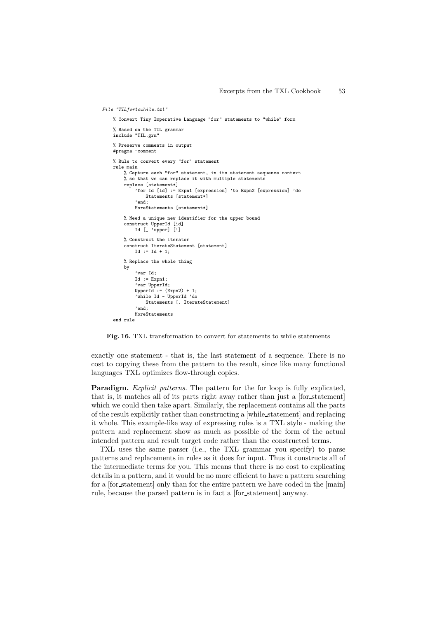```
File "TILfortowhile.txl"
   % Convert Tiny Imperative Language "for" statements to "while" form
   % Based on the TIL grammar
   include "TIL.grm"
   % Preserve comments in output
   #pragma -comment
   % Rule to convert every "for" statement
   rule main
        % Capture each "for" statement, in its statement sequence context
        % so that we can replace it with multiple statements
        replace [statement*]
            'for Id [id] := Expn1 [expression] 'to Expn2 [expression] 'do
               Statements [statement*]
            'end;
            MoreStatements [statement*]
        % Need a unique new identifier for the upper bound
        construct UpperId [id]
            Id [_ 'upper] [!]
        % Construct the iterator
        construct IterateStatement [statement]
            Id := Id + 1;% Replace the whole thing
        by
            'var Id;
            Id := Expn1;'var UpperId;
            UpperId := (x<sub>Expn2</sub>) + 1;
             'while Id - UpperId 'do
               Statements [. IterateStatement]
            'end;
            MoreStatements
   end rule
```
<span id="page-26-0"></span>**Fig. 16.** TXL transformation to convert for statements to while statements

exactly one statement - that is, the last statement of a sequence. There is no cost to copying these from the pattern to the result, since like many functional languages TXL optimizes flow-through copies.

**Paradigm.** *Explicit patterns.* The pattern for the for loop is fully explicated, that is, it matches all of its parts right away rather than just a [for statement] which we could then take apart. Similarly, the replacement contains all the parts of the result explicitly rather than constructing a [while statement] and replacing it whole. This example-like way of expressing rules is a TXL style - making the pattern and replacement show as much as possible of the form of the actual intended pattern and result target code rather than the constructed terms.

TXL uses the same parser (i.e., the TXL grammar you specify) to parse patterns and replacements in rules as it does for input. Thus it constructs all of the intermediate terms for you. This means that there is no cost to explicating details in a pattern, and it would be no more efficient to have a pattern searching for a [for statement] only than for the entire pattern we have coded in the [main] rule, because the parsed pattern is in fact a [for statement] anyway.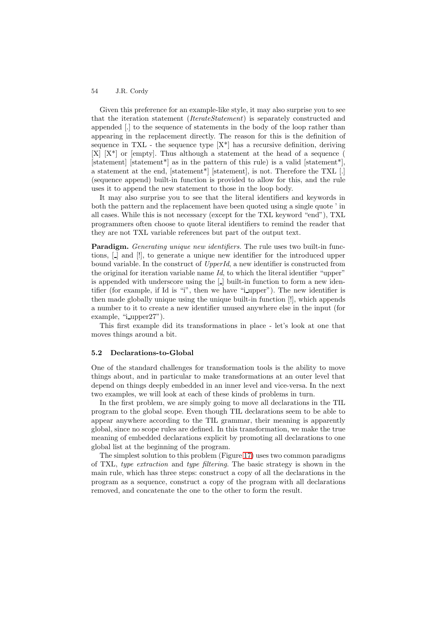Given this preference for an example-like style, it may also surprise you to see that the iteration statement (*IterateStatement*) is separately constructed and appended [.] to the sequence of statements in the body of the loop rather than appearing in the replacement directly. The reason for this is the definition of sequence in TXL - the sequence type  $[X^*]$  has a recursive definition, deriving  $[X]$   $[X^*]$  or [empty]. Thus although a statement at the head of a sequence ( [statement] [statement<sup>\*</sup>] as in the pattern of this rule) is a valid [statement<sup>\*</sup>], a statement at the end, [statement\*] [statement], is not. Therefore the TXL [.] (sequence append) built-in function is provided to allow for this, and the rule uses it to append the new statement to those in the loop body.

It may also surprise you to see that the literal identifiers and keywords in both the pattern and the replacement have been quoted using a single quote ' in all cases. While this is not necessary (except for the TXL keyword "end"), TXL programmers often choose to quote literal identifiers to remind the reader that they are not TXL variable references but part of the output text.

**Paradigm.** *Generating unique new identifiers.* The rule uses two built-in functions, [ ] and [!], to generate a unique new identifier for the introduced upper bound variable. In the construct of *UpperId*, a new identifier is constructed from the original for iteration variable name *Id*, to which the literal identifier "upper" is appended with underscore using the  $\lfloor \cdot \rfloor$  built-in function to form a new identifier (for example, if Id is "i", then we have "i upper"). The new identifier is then made globally unique using the unique built-in function [!], which appends a number to it to create a new identifier unused anywhere else in the input (for example, "i upper27").

This first example did its transformations in place - let's look at one that moves things around a bit.

### **5.2 Declarations-to-Global**

One of the standard challenges for transformation tools is the ability to move things about, and in particular to make transformations at an outer level that depend on things deeply embedded in an inner level and vice-versa. In the next two examples, we will look at each of these kinds of problems in turn.

In the first problem, we are simply going to move all declarations in the TIL program to the global scope. Even though TIL declarations seem to be able to appear anywhere according to the TIL grammar, their meaning is apparently global, since no scope rules are defined. In this transformation, we make the true meaning of embedded declarations explicit by promoting all declarations to one global list at the beginning of the program.

The simplest solution to this problem (Figure [17\)](#page-28-0) uses two common paradigms of TXL, *type extraction* and *type filtering*. The basic strategy is shown in the main rule, which has three steps: construct a copy of all the declarations in the program as a sequence, construct a copy of the program with all declarations removed, and concatenate the one to the other to form the result.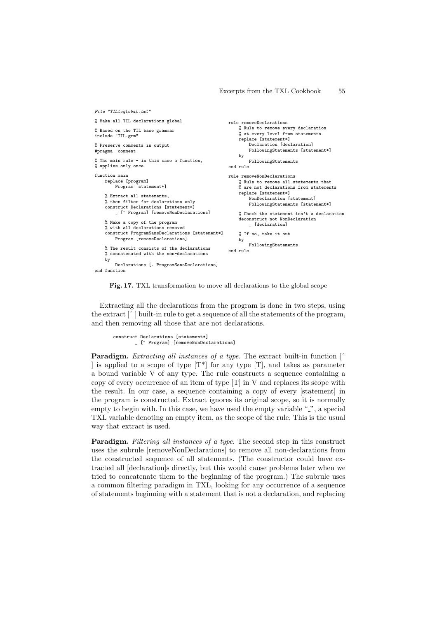```
File "TILtoglobal.txl"
% Make all TIL declarations global
% Based on the TIL base grammar
include "TIL.grm"
% Preserve comments in output
#pragma -comment
% The main rule - in this case a function,
% applies only once
function main
    replace [program]
       Program [statement*]
    % Extract all statements,
    % then filter for declarations only
    construct Declarations [statement*]
        _ [^ Program] [removeNonDeclarations]
    % Make a copy of the program
    % with all declarations removed
    construct ProgramSansDeclarations [statement*]
        Program [removeDeclarations]
    % The result consists of the declarations
    % concatenated with the non-declarations
    by
        Declarations [. ProgramSansDeclarations]
end function
                                                    rule removeDeclarations
                                                         % Rule to remove every declaration
                                                         % at every level from statements
                                                         replace [statement*]
                                                             Declaration [declaration]
                                                             FollowingStatements [statement*]
                                                         by
                                                            FollowingStatements
                                                    end rule
                                                    rule removeNonDeclarations
                                                         % Rule to remove all statements that
                                                         % are not declarations from statements
                                                        replace [statement*]
                                                             NonDeclaration [statement]
                                                             FollowingStatements [statement*]
                                                        % Check the statement isn't a declaration
                                                         deconstruct not NonDeclaration
                                                             [declaration]
                                                         % If so, take it out
                                                         by
                                                            FollowingStatements
                                                    end rule
```
<span id="page-28-0"></span>

Extracting all the declarations from the program is done in two steps, using the extract  $\lceil \cdot \rceil$  built-in rule to get a sequence of all the statements of the program, and then removing all those that are not declarations.

```
construct Declarations [statement*]
        _ [^ Program] [removeNonDeclarations]
```
**Paradigm.** *Extracting all instances of a type.* The extract built-in function [ˆ ] is applied to a scope of type [T\*] for any type [T], and takes as parameter a bound variable V of any type. The rule constructs a sequence containing a copy of every occurrence of an item of type [T] in V and replaces its scope with the result. In our case, a sequence containing a copy of every [statement] in the program is constructed. Extract ignores its original scope, so it is normally empty to begin with. In this case, we have used the empty variable "", a special TXL variable denoting an empty item, as the scope of the rule. This is the usual way that extract is used.

**Paradigm.** *Filtering all instances of a type.* The second step in this construct uses the subrule [removeNonDeclarations] to remove all non-declarations from the constructed sequence of all statements. (The constructor could have extracted all [declaration]s directly, but this would cause problems later when we tried to concatenate them to the beginning of the program.) The subrule uses a common filtering paradigm in TXL, looking for any occurrence of a sequence of statements beginning with a statement that is not a declaration, and replacing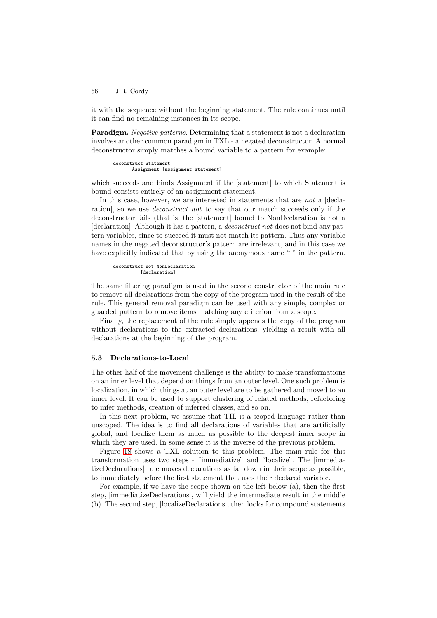it with the sequence without the beginning statement. The rule continues until it can find no remaining instances in its scope.

**Paradigm.** *Negative patterns.* Determining that a statement is not a declaration involves another common paradigm in TXL - a negated deconstructor. A normal deconstructor simply matches a bound variable to a pattern for example:

```
deconstruct Statement
       Assignment [assignment_statement]
```
which succeeds and binds Assignment if the [statement] to which Statement is bound consists entirely of an assignment statement.

In this case, however, we are interested in statements that are *not* a [declaration], so we use *deconstruct not* to say that our match succeeds only if the deconstructor fails (that is, the [statement] bound to NonDeclaration is not a [declaration]. Although it has a pattern, a *deconstruct not* does not bind any pattern variables, since to succeed it must not match its pattern. Thus any variable names in the negated deconstructor's pattern are irrelevant, and in this case we have explicitly indicated that by using the anonymous name "" in the pattern.

deconstruct not NonDeclaration \_ [declaration]

The same filtering paradigm is used in the second constructor of the main rule to remove all declarations from the copy of the program used in the result of the rule. This general removal paradigm can be used with any simple, complex or guarded pattern to remove items matching any criterion from a scope.

Finally, the replacement of the rule simply appends the copy of the program without declarations to the extracted declarations, yielding a result with all declarations at the beginning of the program.

### **5.3 Declarations-to-Local**

The other half of the movement challenge is the ability to make transformations on an inner level that depend on things from an outer level. One such problem is localization, in which things at an outer level are to be gathered and moved to an inner level. It can be used to support clustering of related methods, refactoring to infer methods, creation of inferred classes, and so on.

In this next problem, we assume that TIL is a scoped language rather than unscoped. The idea is to find all declarations of variables that are artificially global, and localize them as much as possible to the deepest inner scope in which they are used. In some sense it is the inverse of the previous problem.

Figure [18](#page-30-0) shows a TXL solution to this problem. The main rule for this transformation uses two steps - "immediatize" and "localize". The [immediatizeDeclarations] rule moves declarations as far down in their scope as possible, to immediately before the first statement that uses their declared variable.

For example, if we have the scope shown on the left below (a), then the first step, [immediatizeDeclarations], will yield the intermediate result in the middle (b). The second step, [localizeDeclarations], then looks for compound statements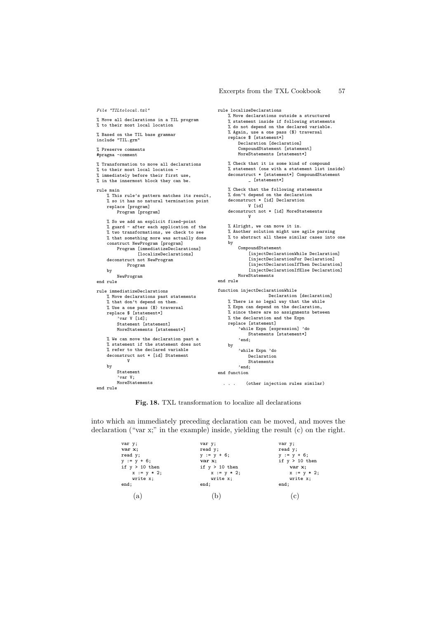```
File "TILtolocal.txl"
% Move all declarations in a TIL program
% to their most local location
% Based on the TIL base grammar
include "TIL.grm"
% Preserve comments
#pragma -comment
% Transformation to move all declarations
% to their most local location -
% immediately before their first use,
% in the innermost block they can be.
rule main
    % This rule's pattern matches its result,
    % so it has no natural termination point
    replace [program]
       Program [program]
    % So we add an explicit fixed-point
    % guard - after each application of the
    % two transformations, we check to see
    % that something more was actually done
    construct NewProgram [program]
        Program [immediatizeDeclarations]
               [localizeDeclarations]
    deconstruct not NewProgram
            Program
    by
        NewProgram
end rule
rule immediatizeDeclarations
    % Move declarations past statements
    % that don't depend on them.
    % Use a one pass ($) traversal
    replace $ [statement*]
        'var V [id];
        Statement [statement]
        MoreStatements [statement*]
    % We can move the declaration past a
    % statement if the statement does not
% refer to the declared variable
    deconstruct not * [id] Statement
             V
    by
        Statement
        'var V;
        MoreStatements
end rule
                                                 rule localizeDeclarations
                                                     % Move declarations outside a structured
                                                     % statement inside if following statements
                                                     % do not depend on the declared variable.
                                                     % Again, use a one pass ($) traversal
                                                     replace $ [statement*]
                                                         Declaration [declaration]
                                                         CompoundStatement [statement]
                                                         MoreStatements [statement*]
                                                     % Check that it is some kind of compound
                                                     % statement (one with a statement list inside)
                                                     deconstruct * [statement*] CompoundStatement
                                                             _ [statement*]
                                                     % Check that the following statements
                                                      % don't depend on the declaration
deconstruct * [id] Declaration
                                                             V [id]
                                                     deconstruct not * [id] MoreStatements
                                                             V
                                                     % Alright, we can move it in.
                                                     % Another solution might use agile parsing
                                                     % to abstract all these similar cases into one
                                                     by
                                                         CompoundStatement
                                                             [injectDeclarationWhile Declaration]
                                                              [injectDeclarationFor Declaration]
                                                              [injectDeclarationIfThen Declaration]
                                                              [injectDeclarationIfElse Declaration]
                                                         MoreStatements
                                                 end rule
                                                 function injectDeclarationWhile
                                                                     Declaration [declaration]
                                                     % There is no legal way that the while
                                                     % Expn can depend on the declaration,
                                                     % since there are no assignments between
                                                     % the declaration and the Expn
                                                     replace [statement]
                                                         'while Expn [expression] 'do
                                                             Statements [statement*]
                                                         'end;
                                                     by
                                                         'while Expn 'do
                                                             Declaration
                                                             Statements
                                                         'end;
                                                 end function
                                                   . . . (other injection rules similar)
```
<span id="page-30-0"></span>**Fig. 18.** TXL transformation to localize all declarations

into which an immediately preceding declaration can be moved, and moves the declaration ("var x;" in the example) inside, yielding the result (c) on the right.

| var y;           | var y;           |
|------------------|------------------|
| read y;          | read y;          |
| $y := y + 6$ ;   | $y := y + 6;$    |
| var x;           | if $y > 10$ then |
| if $y > 10$ then | var x;           |
| $x := y * 2;$    | $x := y * 2;$    |
| write x;         | write x;         |
| end;             | end;             |
| (b'              | $\mathbf{c}$     |
|                  |                  |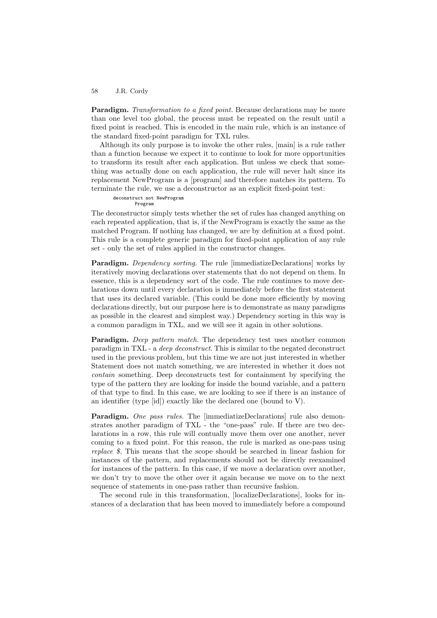**Paradigm.** *Transformation to a fixed point.* Because declarations may be more than one level too global, the process must be repeated on the result until a fixed point is reached. This is encoded in the main rule, which is an instance of the standard fixed-point paradigm for TXL rules.

Although its only purpose is to invoke the other rules, [main] is a rule rather than a function because we expect it to continue to look for more opportunities to transform its result after each application. But unless we check that something was actually done on each application, the rule will never halt since its replacement NewProgram is a [program] and therefore matches its pattern. To terminate the rule, we use a deconstructor as an explicit fixed-point test:

deconstruct not NewProgram Program

The deconstructor simply tests whether the set of rules has changed anything on each repeated application, that is, if the NewProgram is exactly the same as the matched Program. If nothing has changed, we are by definition at a fixed point. This rule is a complete generic paradigm for fixed-point application of any rule set - only the set of rules applied in the constructor changes.

**Paradigm.** *Dependency sorting.* The rule [immediatizeDeclarations] works by iteratively moving declarations over statements that do not depend on them. In essence, this is a dependency sort of the code. The rule continues to move declarations down until every declaration is immediately before the first statement that uses its declared variable. (This could be done more efficiently by moving declarations directly, but our purpose here is to demonstrate as many paradigms as possible in the clearest and simplest way.) Dependency sorting in this way is a common paradigm in TXL, and we will see it again in other solutions.

**Paradigm.** *Deep pattern match.* The dependency test uses another common paradigm in TXL - a *deep deconstruct*. This is similar to the negated deconstruct used in the previous problem, but this time we are not just interested in whether Statement does not match something, we are interested in whether it does not *contain* something. Deep deconstructs test for containment by specifying the type of the pattern they are looking for inside the bound variable, and a pattern of that type to find. In this case, we are looking to see if there is an instance of an identifier (type [id]) exactly like the declared one (bound to V).

**Paradigm.** *One pass rules.* The [immediatizeDeclarations] rule also demonstrates another paradigm of TXL - the "one-pass" rule. If there are two declarations in a row, this rule will contually move them over one another, never coming to a fixed point. For this reason, the rule is marked as one-pass using *replace \$*. This means that the scope should be searched in linear fashion for instances of the pattern, and replacements should not be directly reexamined for instances of the pattern. In this case, if we move a declaration over another, we don't try to move the other over it again because we move on to the next sequence of statements in one-pass rather than recursive fashion.

The second rule in this transformation, [localizeDeclarations], looks for instances of a declaration that has been moved to immediately before a compound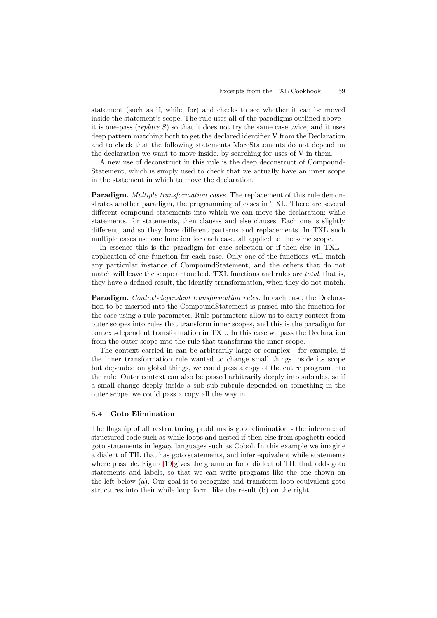statement (such as if, while, for) and checks to see whether it can be moved inside the statement's scope. The rule uses all of the paradigms outlined above it is one-pass (*replace \$*) so that it does not try the same case twice, and it uses deep pattern matching both to get the declared identifier V from the Declaration and to check that the following statements MoreStatements do not depend on the declaration we want to move inside, by searching for uses of V in them.

A new use of deconstruct in this rule is the deep deconstruct of Compound-Statement, which is simply used to check that we actually have an inner scope in the statement in which to move the declaration.

**Paradigm.** *Multiple transformation cases.* The replacement of this rule demonstrates another paradigm, the programming of cases in TXL. There are several different compound statements into which we can move the declaration: while statements, for statements, then clauses and else clauses. Each one is slightly different, and so they have different patterns and replacements. In TXL such multiple cases use one function for each case, all applied to the same scope.

In essence this is the paradigm for case selection or if-then-else in TXL application of one function for each case. Only one of the functions will match any particular instance of CompoundStatement, and the others that do not match will leave the scope untouched. TXL functions and rules are *total*, that is, they have a defined result, the identify transformation, when they do not match.

**Paradigm.** *Context-dependent transformation rules.* In each case, the Declaration to be inserted into the CompoundStatement is passed into the function for the case using a rule parameter. Rule parameters allow us to carry context from outer scopes into rules that transform inner scopes, and this is the paradigm for context-dependent transformation in TXL. In this case we pass the Declaration from the outer scope into the rule that transforms the inner scope.

The context carried in can be arbitrarily large or complex - for example, if the inner transformation rule wanted to change small things inside its scope but depended on global things, we could pass a copy of the entire program into the rule. Outer context can also be passed arbitrarily deeply into subrules, so if a small change deeply inside a sub-sub-subrule depended on something in the outer scope, we could pass a copy all the way in.

## **5.4 Goto Elimination**

The flagship of all restructuring problems is goto elimination - the inference of structured code such as while loops and nested if-then-else from spaghetti-coded goto statements in legacy languages such as Cobol. In this example we imagine a dialect of TIL that has goto statements, and infer equivalent while statements where possible. Figure [19](#page-34-0) gives the grammar for a dialect of TIL that adds goto statements and labels, so that we can write programs like the one shown on the left below (a). Our goal is to recognize and transform loop-equivalent goto structures into their while loop form, like the result (b) on the right.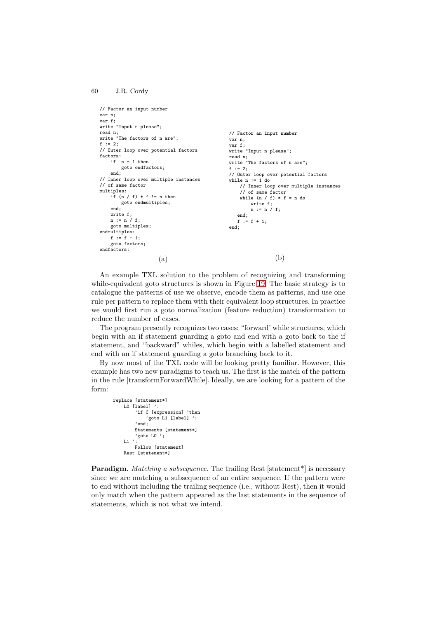```
// Factor an input number
var n;
var f;
write "Input n please";
read n;
write "The factors of n are";
f := 2:
// Outer loop over potential factors
factors:
   if n = 1 then
        goto endfactors;
    end;
// Inner loop over multiple instances
// of same factor
multiples:
   if (n / f) * f := n then
    goto endmultiples;
end;
    write f;
    n := n / f;goto multiples;
endmultiples:
   f := f + 1:
    goto factors;
endfactors:
                      (a)
                                                // Factor an input number
                                                var n;
                                                 var f;
                                                 write "Input n please";
                                                read n;
                                                write "The factors of n are";
                                                f := 2;
                                                // Outer loop over potential factors
                                                while n := 1 do
                                                     // Inner loop over multiple instances
                                                     // of same factor
                                                     while (n / f) * f = n do
                                                        write f;
                                                        n := n / f;end;
                                                   f := f + 1:
                                                end;
                                                                  (b)
```
An example TXL solution to the problem of recognizing and transforming while-equivalent goto structures is shown in Figure [19.](#page-34-0) The basic strategy is to catalogue the patterns of use we observe, encode them as patterns, and use one rule per pattern to replace them with their equivalent loop structures. In practice we would first run a goto normalization (feature reduction) transformation to reduce the number of cases.

The program presently recognizes two cases: "forward' while structures, which begin with an if statement guarding a goto and end with a goto back to the if statement, and "backward" whiles, which begin with a labelled statement and end with an if statement guarding a goto branching back to it.

By now most of the TXL code will be looking pretty familiar. However, this example has two new paradigms to teach us. The first is the match of the pattern in the rule [transformForwardWhile]. Ideally, we are looking for a pattern of the form:

```
replace [statement*]
    LO [label] ':
        'if C [expression] 'then
            'goto L1 [label] ';
        'end;
        Statements [statement*]
        'goto L0 ';
    L1, \cdotFollow [statement]
    Rest [statement*]
```
**Paradigm.** *Matching a subsequence*. The trailing Rest [statement<sup>\*</sup>] is necessary since we are matching a subsequence of an entire sequence. If the pattern were to end without including the trailing sequence (i.e., without Rest), then it would only match when the pattern appeared as the last statements in the sequence of statements, which is not what we intend.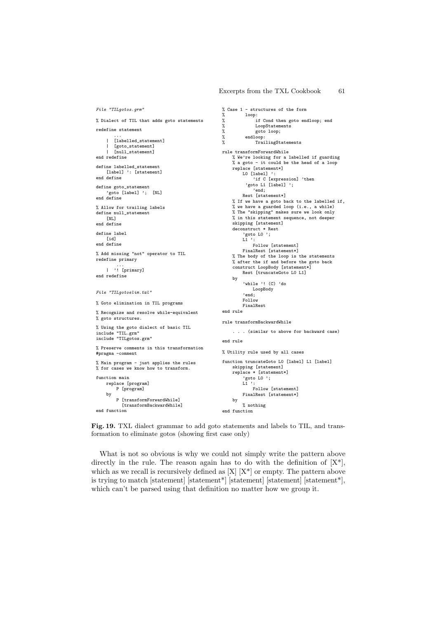```
File "TILgotos.grm"
% Dialect of TIL that adds goto statements
redefine statement
    ...
| [labelled_statement]
       | [goto_statement]
       [null_statement]
end redefine
define labelled_statement
    [label] ': [statement]
end define
define goto_statement
    'goto [label] '; [NL]
end define
% Allow for trailing labels
define null_statement
    [NL]end define
define label
    [id]end define
% Add missing "not" operator to TIL
redefine primary
    ...
| '! [primary]
end redefine
File "TILgotoelim.txl"
% Goto elimination in TIL programs
% Recognize and resolve while-equivalent
% goto structures.
% Using the goto dialect of basic TIL
include "TIL.grm"
include "TILgotos.grm"
% Preserve comments in this transformation
#pragma -comment
% Main program - just applies the rules
% for cases we know how to transform.
function main
   replace [program]
       P [program]
    by
       P [transformForwardWhile]
          [transformBackwardWhile]
end function
                                                  end function
```

```
% Case 1 - structures of the form
% loop:
% if Cond then goto endloop; end<br>% LoopStatements
% LoopStatements<br>% goto loop;
              goto loop;
% endloop:
% TrailingStatements
rule transformForwardWhile
     % We're looking for a labelled if guarding
% a goto - it could be the head of a loop
    replace [statement*]
        L0 [label] ':
             'if C [expression] 'then
          'goto L1 [label] ';
             'end;
        Rest [statement*]
    % If we have a goto back to the labelled if,
     % we have a guarded loop (i.e., a while)
% The "skipping" makes sure we look only
    % in this statement sequence, not deeper
    skipping [statement]
    deconstruct * Rest
         'goto L0 ';
L1 ':
             Follow [statement]
        FinalRest [statement*]
    % The body of the loop is the statements
    % after the if and before the goto back
    construct LoopBody [statement*]
        Rest [truncateGoto L0 L1]
    by
         'while '! (C) 'do
            LoopBody
         'end;
        Follow
        FinalRest
end rule
rule transformBackwardWhile
    . . . (similar to above for backward case)
end rule
% Utility rule used by all cases
function truncateGoto L0 [label] L1 [label]
    skipping [statement]
    replace * [statement*]
         'goto L0 ';
        \overline{L1} ':
             Follow [statement]
        FinalRest [statement*]
    by
        % nothing
```
<span id="page-34-0"></span>**Fig. 19.** TXL dialect grammar to add goto statements and labels to TIL, and transformation to eliminate gotos (showing first case only)

What is not so obvious is why we could not simply write the pattern above directly in the rule. The reason again has to do with the definition of  $[X^*]$ , which as we recall is recursively defined as  $[X]$   $[X^*]$  or empty. The pattern above is trying to match [statement] [statement\*] [statement] [statement\*], which can't be parsed using that definition no matter how we group it.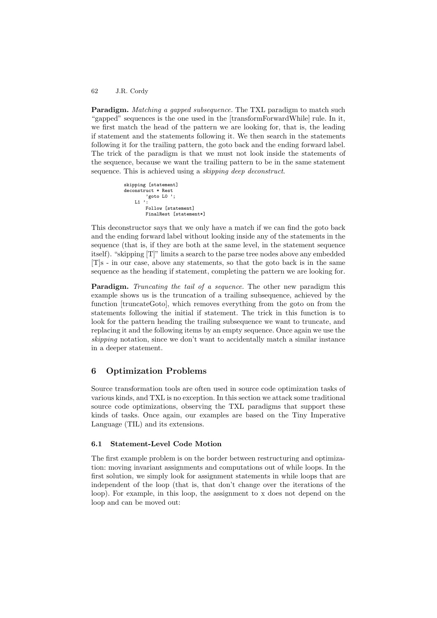**Paradigm.** *Matching a gapped subsequence.* The TXL paradigm to match such "gapped" sequences is the one used in the [transformForwardWhile] rule. In it, we first match the head of the pattern we are looking for, that is, the leading if statement and the statements following it. We then search in the statements following it for the trailing pattern, the goto back and the ending forward label. The trick of the paradigm is that we must not look inside the statements of the sequence, because we want the trailing pattern to be in the same statement sequence. This is achieved using a *skipping deep deconstruct*.

```
skipping [statement]
deconstruct * Rest
        'goto L0 ';
   L1, \cdotFollow [statement]
        FinalRest [statement*]
```
This deconstructor says that we only have a match if we can find the goto back and the ending forward label without looking inside any of the statements in the sequence (that is, if they are both at the same level, in the statement sequence itself). "skipping [T]" limits a search to the parse tree nodes above any embedded [T]s - in our case, above any statements, so that the goto back is in the same sequence as the heading if statement, completing the pattern we are looking for.

**Paradigm.** *Truncating the tail of a sequence.* The other new paradigm this example shows us is the truncation of a trailing subsequence, achieved by the function [truncateGoto], which removes everything from the goto on from the statements following the initial if statement. The trick in this function is to look for the pattern heading the trailing subsequence we want to truncate, and replacing it and the following items by an empty sequence. Once again we use the *skipping* notation, since we don't want to accidentally match a similar instance in a deeper statement.

## **6 Optimization Problems**

Source transformation tools are often used in source code optimization tasks of various kinds, and TXL is no exception. In this section we attack some traditional source code optimizations, observing the TXL paradigms that support these kinds of tasks. Once again, our examples are based on the Tiny Imperative Language (TIL) and its extensions.

### **6.1 Statement-Level Code Motion**

The first example problem is on the border between restructuring and optimization: moving invariant assignments and computations out of while loops. In the first solution, we simply look for assignment statements in while loops that are independent of the loop (that is, that don't change over the iterations of the loop). For example, in this loop, the assignment to x does not depend on the loop and can be moved out: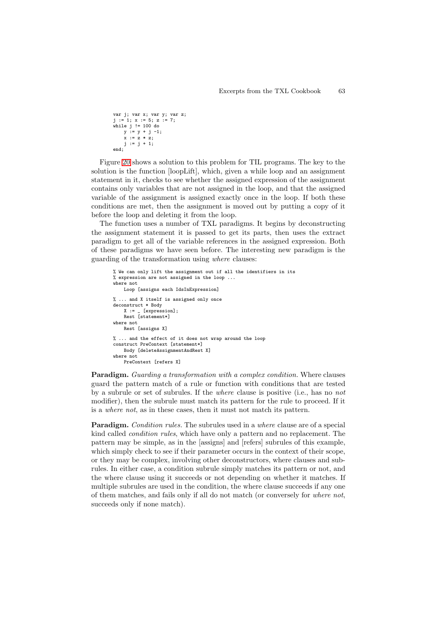```
var j; var x; var y; var z;
j := 1; x := 5; z := 7;
while j != 100 do
     y := y + j - 1;<br>
x := z * z;x := z * z;<br>
j := j + 1;<br>
end;
```
Figure [20](#page-37-0) shows a solution to this problem for TIL programs. The key to the solution is the function [loopLift], which, given a while loop and an assignment statement in it, checks to see whether the assigned expression of the assignment contains only variables that are not assigned in the loop, and that the assigned variable of the assignment is assigned exactly once in the loop. If both these conditions are met, then the assignment is moved out by putting a copy of it before the loop and deleting it from the loop.

The function uses a number of TXL paradigms. It begins by deconstructing the assignment statement it is passed to get its parts, then uses the extract paradigm to get all of the variable references in the assigned expression. Both of these paradigms we have seen before. The interesting new paradigm is the guarding of the transformation using *where* clauses:

```
% We can only lift the assignment out if all the identifiers in its
% expression are not assigned in the loop ...
where not
   Loop [assigns each IdsInExpression]
% ... and X itself is assigned only once
deconstruct * Body
    X := [expression];
   Rest [statement*]
where not
   Rest [assigns X]
% ... and the effect of it does not wrap around the loop
construct PreContext [statement*]
   Body [deleteAssignmentAndRest X]
where not
   PreContext [refers X]
```
**Paradigm.** *Guarding a transformation with a complex condition.* Where clauses guard the pattern match of a rule or function with conditions that are tested by a subrule or set of subrules. If the *where* clause is positive (i.e., has no *not* modifier), then the subrule must match its pattern for the rule to proceed. If it is a *where not*, as in these cases, then it must not match its pattern.

**Paradigm.** *Condition rules.* The subrules used in a *where* clause are of a special kind called *condition rules*, which have only a pattern and no replacement. The pattern may be simple, as in the [assigns] and [refers] subrules of this example, which simply check to see if their parameter occurs in the context of their scope, or they may be complex, involving other deconstructors, where clauses and subrules. In either case, a condition subrule simply matches its pattern or not, and the where clause using it succeeds or not depending on whether it matches. If multiple subrules are used in the condition, the where clause succeeds if any one of them matches, and fails only if all do not match (or conversely for *where not*, succeeds only if none match).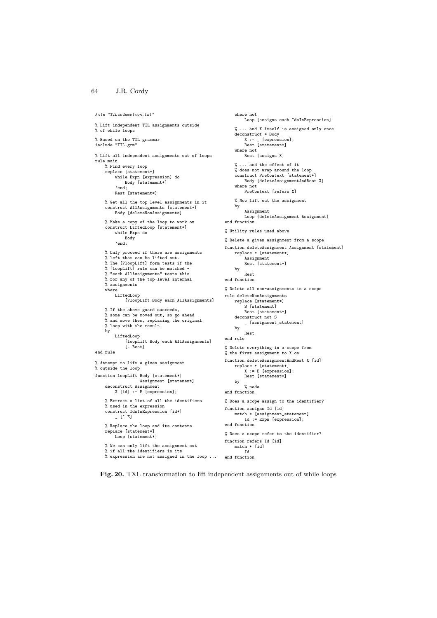```
File "TILcodemotion.txl"
% Lift independent TIL assignments outside
% of while loops
% Based on the TIL grammar
include "TIL.grm"
% Lift all independent assignments out of loops
rule main
    % Find every loop
    replace [statement*]
         while Expn [expression] do
             Body [statement*]
          'end;
         Rest [statement*]
    % Get all the top-level assignments in it
     construct AllAssignments [statement*]
Body [deleteNonAssignments]
     % Make a copy of the loop to work on
construct LiftedLoop [statement*]
while Expn do
             Body
         'end;
    % Only proceed if there are assignments
    % left that can be lifted out.
    % The [?loopLift] form tests if the
     % [loopLift] rule can be matched -
% "each AllAssignments" tests this
    % for any of the top-level internal
    % assignments
    where
         .。<br>LiftedLoop
             [?loopLift Body each AllAssignments]
    % If the above guard succeeds,
    % some can be moved out, so go ahead
     % and move them, replacing the original
% loop with the result
    by
         LiftedLoop
              [loopLift Body each AllAssignments]
              [. Rest]
end rule
% Attempt to lift a given assignment
% outside the loop
function loopLift Body [statement*]
                  Assignment [statement]
     deconstruct Assignment
X [id] := E [expression];
    % Extract a list of all the identifiers
    % and in the expression
    construct IdsInExpression [id*]
         \_ [^ E]
     % Replace the loop and its contents
replace [statement*]
         Loop [statement*]
    % We can only lift the assignment out
    % if all the identifiers in its
    % expression are not assigned in the loop ...
```
where not Loop [assigns each IdsInExpression] % ... and X itself is assigned only once deconstruct \* Body X := \_ [expression]; Rest [statement\*] where not Rest [assigns X]  $\ldots$  and the effect of it % does not wrap around the loop construct PreContext [statement\*] Body [deleteAssignmentAndRest X] where not PreContext [refers X] % Now lift out the assignment by Assignment Loop [deleteAssignment Assignment] end function % Utility rules used above % Delete a given assignment from a scope function deleteAssignment Assignment [statement] replace \* [statement\*] Assignment Rest [statement\*] by Rest end function % Delete all non-assignments in a scope rule deleteNonAssignments replace [statement\*] S [statement] Rest [statement\*] deconstruct not S \_ [assignment\_statement] by Rest end rule % Delete everything in a scope from % the first assignment to X on function deleteAssignmentAndRest X [id] replace \* [statement\*] X := E [expression]; Rest [statement\*] by % nada end function % Does a scope assign to the identifier? function assigns Id [id] match \* [assignment\_statement] Id := Expn [expression]; end function % Does a scope refer to the identifier? function refers Id [id] match \* [id] Id end function

<span id="page-37-0"></span>**Fig. 20.** TXL transformation to lift independent assignments out of while loops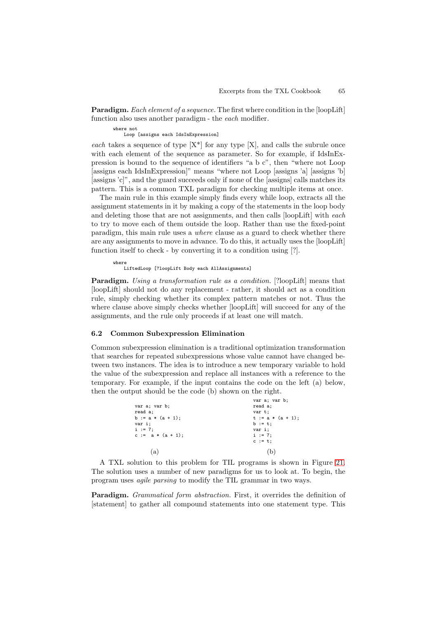**Paradigm.** *Each element of a sequence.* The first where condition in the [loopLift] function also uses another paradigm - the *each* modifier.

Loop [assigns each IdsInExpression]

where not

where

*each* takes a sequence of type  $[X^*]$  for any type  $[X]$ , and calls the subrule once with each element of the sequence as parameter. So for example, if IdsInExpression is bound to the sequence of identifiers "a b c", then "where not Loop [assigns each IdsInExpression]" means "where not Loop [assigns 'a] [assigns 'b] [assigns 'c]", and the guard succeeds only if none of the [assigns] calls matches its pattern. This is a common TXL paradigm for checking multiple items at once.

The main rule in this example simply finds every while loop, extracts all the assignment statements in it by making a copy of the statements in the loop body and deleting those that are not assignments, and then calls [loopLift] with *each* to try to move each of them outside the loop. Rather than use the fixed-point paradigm, this main rule uses a *where* clause as a guard to check whether there are any assignments to move in advance. To do this, it actually uses the [loopLift] function itself to check - by converting it to a condition using [?].

LiftedLoop [?loopLift Body each AllAssignments]

**Paradigm.** *Using a transformation rule as a condition.* [?loopLift] means that [loopLift] should not do any replacement - rather, it should act as a condition rule, simply checking whether its complex pattern matches or not. Thus the where clause above simply checks whether [loopLift] will succeed for any of the assignments, and the rule only proceeds if at least one will match.

### **6.2 Common Subexpression Elimination**

Common subexpression elimination is a traditional optimization transformation that searches for repeated subexpressions whose value cannot have changed between two instances. The idea is to introduce a new temporary variable to hold the value of the subexpression and replace all instances with a reference to the temporary. For example, if the input contains the code on the left (a) below, then the output should be the code (b) shown on the right.

|                     | var a; var b;       |
|---------------------|---------------------|
| var a; var b;       | read a;             |
| read a;             | var t;              |
| $b := a * (a + 1);$ | $t := a * (a + 1);$ |
| var i;              | $b := t$ ;          |
| $i := 7$ ;          | var i;              |
| $c := a * (a + 1);$ | $i := 7$ ;          |
|                     | $c := t$ ;          |
| (a)                 |                     |
|                     |                     |

A TXL solution to this problem for TIL programs is shown in Figure [21.](#page-39-0) The solution uses a number of new paradigms for us to look at. To begin, the program uses *agile parsing* to modify the TIL grammar in two ways.

**Paradigm.** *Grammatical form abstraction.* First, it overrides the definition of [statement] to gather all compound statements into one statement type. This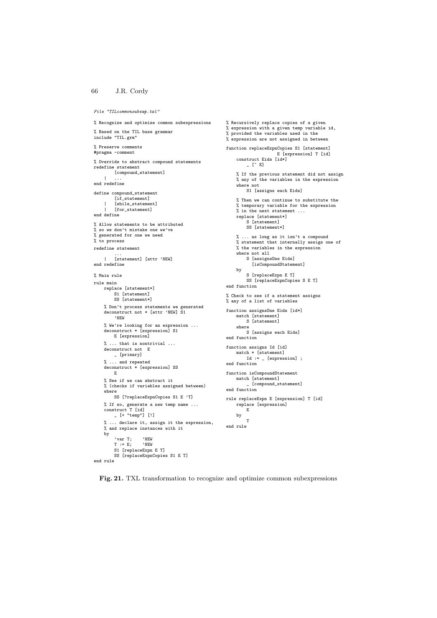#### File "TILcommonsubexp.txl"

```
% Recognize and optimize common subexpressions
% Based on the TIL base grammar
include "TIL.grm"
% Preserve comments
#pragma -comment
% Override to abstract compound statements
redefine statement
      [compound_statement]
| ...
end redefine
define compound statement
        Fif statement]
        [while_statement]
    | [for_statement]
end define
% Allow statements to be attributed
% so we don't mistake one we've
% generated for one we need
% to process
redefine statement
     ...
| [statement] [attr 'NEW]
end redefine
% Main rule
rule main
    replace [statement*]
        S1 [statement]
        SS [statement*]
     % Don't process statements we generated
deconstruct not * [attr 'NEW] S1
         'NEW
    % We're looking for an expression ...
    deconstruct * [expression] S1
        E [expression]
    % ... that is nontrivial ...
    deconstruct not E
        _ [primary]
    % ... and repeated
    deconstruct * [expression] SS
        \, E
     % See if we can abstract it
% (checks if variables assigned between)
    where
        SS [?replaceExpnCopies S1 E 'T]
     % If so, generate a new temp name ...<br>construct T [id]<br>__ [+ "temp"] [!]
    % ... declare it, assign it the expression,
    % and replace instances with it
    by
        'var T; <br>
T := E; <br>
'NEW
        T := E;
        S1 [replaceExpn E T]
        SS [replaceExpnCopies S1 E T]
end rule
```
% Recursively replace copies of a given % assumenting repress topics of a given<br>% expression with a given temp variable id, % provided the variables used in the % expression are not assigned in between function replaceExpnCopies S1 [statement] E [expression] T [id] construct Eids [id\*]  $\begin{bmatrix} 0 & 0 \\ 0 & 0 \end{bmatrix}$ % If the previous statement did not assign % any of the variables in the expression where not S1 [assigns each Eids] % Then we can continue to substitute the % temporary variable for the expression % in the next statement ... replace [statement\*] S [statement] SS [statement\*] % ... as long as it isn't a compound % statement that internally assigs one of % the variables in the expression where not all S [assignsOne Eids] [isCompoundStatement] by S [replaceExpn E T] SS [replaceExpnCopies S E T] end function % Check to see if a statement assigns % any of a list of variables function assignsOne Eids [id\*] match [statement] S [statement] where S [assigns each Eids] end function function assigns Id [id] match \* [statement] Id := \_ [expression] ; end function function isCompoundStatement match [statement] \_ [compound\_statement] end function rule replaceExpn E [expression] T [id] replace [expression] E by T end rule

<span id="page-39-0"></span>**Fig. 21.** TXL transformation to recognize and optimize common subexpressions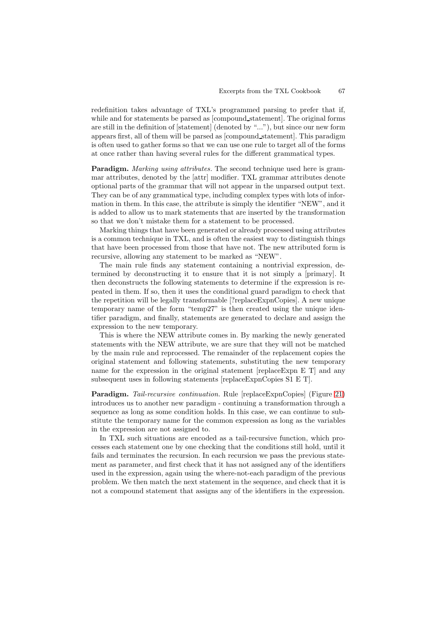redefinition takes advantage of TXL's programmed parsing to prefer that if, while and for statements be parsed as [compound statement]. The original forms are still in the definition of [statement] (denoted by "..."), but since our new form appears first, all of them will be parsed as [compound statement]. This paradigm is often used to gather forms so that we can use one rule to target all of the forms at once rather than having several rules for the different grammatical types.

**Paradigm.** *Marking using attributes.* The second technique used here is grammar attributes, denoted by the [attr] modifier. TXL grammar attributes denote optional parts of the grammar that will not appear in the unparsed output text. They can be of any grammatical type, including complex types with lots of information in them. In this case, the attribute is simply the identifier "NEW", and it is added to allow us to mark statements that are inserted by the transformation so that we don't mistake them for a statement to be processed.

Marking things that have been generated or already processed using attributes is a common technique in TXL, and is often the easiest way to distinguish things that have been processed from those that have not. The new attributed form is recursive, allowing any statement to be marked as "NEW".

The main rule finds any statement containing a nontrivial expression, determined by deconstructing it to ensure that it is not simply a [primary]. It then deconstructs the following statements to determine if the expression is repeated in them. If so, then it uses the conditional guard paradigm to check that the repetition will be legally transformable [?replaceExpnCopies]. A new unique temporary name of the form "temp27" is then created using the unique identifier paradigm, and finally, statements are generated to declare and assign the expression to the new temporary.

This is where the NEW attribute comes in. By marking the newly generated statements with the NEW attribute, we are sure that they will not be matched by the main rule and reprocessed. The remainder of the replacement copies the original statement and following statements, substituting the new temporary name for the expression in the original statement [replaceExpn E T] and any subsequent uses in following statements [replaceExpnCopies S1 E T].

**Paradigm.** *Tail-recursive continuation.* Rule [replaceExpnCopies] (Figure [21\)](#page-39-0) introduces us to another new paradigm - continuing a transformation through a sequence as long as some condition holds. In this case, we can continue to substitute the temporary name for the common expression as long as the variables in the expression are not assigned to.

In TXL such situations are encoded as a tail-recursive function, which processes each statement one by one checking that the conditions still hold, until it fails and terminates the recursion. In each recursion we pass the previous statement as parameter, and first check that it has not assigned any of the identifiers used in the expression, again using the where-not-each paradigm of the previous problem. We then match the next statement in the sequence, and check that it is not a compound statement that assigns any of the identifiers in the expression.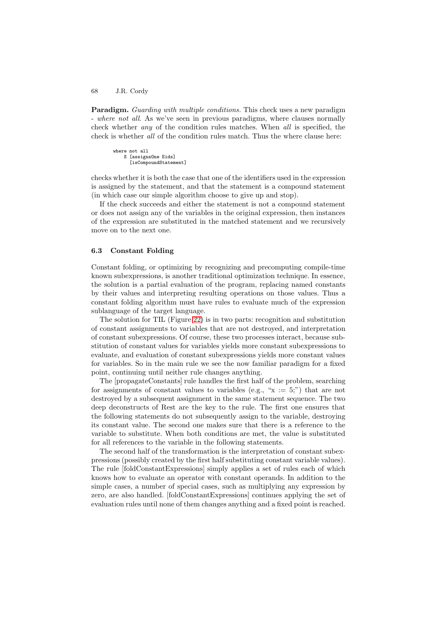**Paradigm.** *Guarding with multiple conditions.* This check uses a new paradigm - *where not all*. As we've seen in previous paradigms, where clauses normally check whether *any* of the condition rules matches. When *all* is specified, the check is whether *all* of the condition rules match. Thus the where clause here:

where not all S [assignsOne Eids] [isCompoundStatement]

checks whether it is both the case that one of the identifiers used in the expression is assigned by the statement, and that the statement is a compound statement (in which case our simple algorithm choose to give up and stop).

If the check succeeds and either the statement is not a compound statement or does not assign any of the variables in the original expression, then instances of the expression are substituted in the matched statement and we recursively move on to the next one.

#### **6.3 Constant Folding**

Constant folding, or optimizing by recognizing and precomputing compile-time known subexpressions, is another traditional optimization technique. In essence, the solution is a partial evaluation of the program, replacing named constants by their values and interpreting resulting operations on those values. Thus a constant folding algorithm must have rules to evaluate much of the expression sublanguage of the target language.

The solution for TIL (Figure [22\)](#page-42-0) is in two parts: recognition and substitution of constant assignments to variables that are not destroyed, and interpretation of constant subexpressions. Of course, these two processes interact, because substitution of constant values for variables yields more constant subexpressions to evaluate, and evaluation of constant subexpressions yields more constant values for variables. So in the main rule we see the now familiar paradigm for a fixed point, continuing until neither rule changes anything.

The [propagateConstants] rule handles the first half of the problem, searching for assignments of constant values to variables (e.g., " $x := 5$ ;") that are not destroyed by a subsequent assignment in the same statement sequence. The two deep deconstructs of Rest are the key to the rule. The first one ensures that the following statements do not subsequently assign to the variable, destroying its constant value. The second one makes sure that there is a reference to the variable to substitute. When both conditions are met, the value is substituted for all references to the variable in the following statements.

The second half of the transformation is the interpretation of constant subexpressions (possibly created by the first half substituting constant variable values). The rule [foldConstantExpressions] simply applies a set of rules each of which knows how to evaluate an operator with constant operands. In addition to the simple cases, a number of special cases, such as multiplying any expression by zero, are also handled. [foldConstantExpressions] continues applying the set of evaluation rules until none of them changes anything and a fixed point is reached.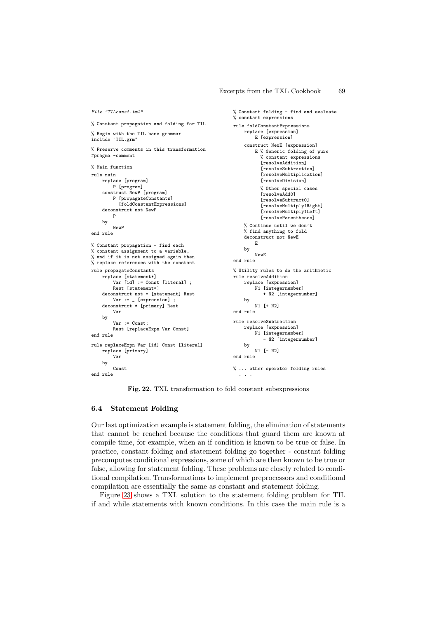% Constant folding - find and evaluate

```
File "TILconst.txl"
```

```
% Constant propagation and folding for TIL
% Begin with the TIL base grammar
include "TIL.grm"
% Preserve comments in this transformation
#pragma -comment
% Main function
rule main
    replace [program]
       P [program]
    construct NewP [program]
        P [propagateConstants]
          [foldConstantExpressions]
    deconstruct not NewP
       \overline{P}by
        NewP
end rule
% Constant propagation - find each
% constant assignment to a variable,
% and if it is not assigned again then
% replace references with the constant
rule propagateConstants
    replace [statement*]
        Var [id] := Const [literal] ;
        Rest [statement*]
    deconstruct not * [statement] Rest
        Var := _ [expression] ;
    deconstruct * [primary] Rest
        Var
    by
        Var := Const;
        Rest [replaceExpn Var Const]
end rule
rule replaceExpn Var [id] Const [literal]
    replace [primary]
        Var
    by
        Const
end rule
                                                     % constant expressions
                                                     rule foldConstantExpressions
                                                         replace [expression]
                                                             E [expression]
                                                         construct NewE [expression]
                                                              E % Generic folding of pure
                                                                % constant expressions
                                                                [resolveAddition]
                                                                [resolveSubtraction]
                                                                [resolveMultiplication]
                                                                [resolveDivision]
                                                                % Other special cases
                                                                [resolveAdd0]
                                                                [resolveSubtract0]
                                                                [resolveMultiply1Right]
                                                                [resolveMultiply1Left]
                                                                [resolveParentheses]
                                                         % Continue until we don't
                                                         % find anything to fold
                                                         deconstruct not NewE
                                                              E
                                                         by
                                                              NewE
                                                     end rule
                                                     % Utility rules to do the arithmetic
                                                     rule resolveAddition
                                                         replace [expression]
                                                              N1 [integernumber]
                                                                 + N2 [integernumber]
                                                         by
                                                             N1 [+ N2]
                                                     end rule
                                                     rule resolveSubtraction
                                                         replace [expression]
                                                             N1 [integernumber]
                                                                 - N2 [integernumber]
                                                         by
                                                             N1 [- N2]
                                                     end rule
                                                     % ... other operator folding rules
                                                        ...
```
<span id="page-42-0"></span>**Fig. 22.** TXL transformation to fold constant subexpressions

#### **6.4 Statement Folding**

Our last optimization example is statement folding, the elimination of statements that cannot be reached because the conditions that guard them are known at compile time, for example, when an if condition is known to be true or false. In practice, constant folding and statement folding go together - constant folding precomputes conditional expressions, some of which are then known to be true or false, allowing for statement folding. These problems are closely related to conditional compilation. Transformations to implement preprocessors and conditional compilation are essentially the same as constant and statement folding.

Figure [23](#page-43-0) shows a TXL solution to the statement folding problem for TIL if and while statements with known conditions. In this case the main rule is a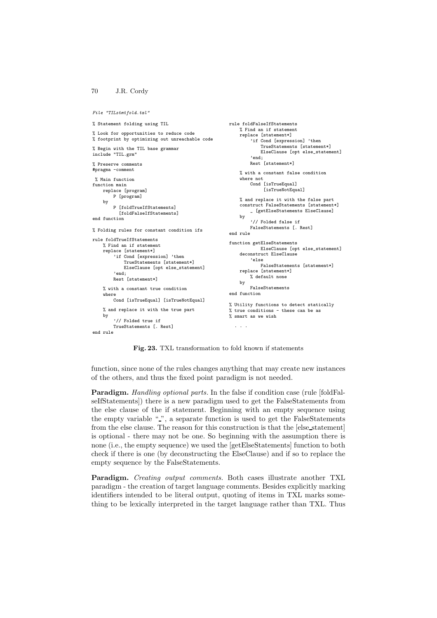```
File "TILstmtfold.txl"
% Statement folding using TIL
% Look for opportunities to reduce code
% footprint by optimizing out unreachable code
% Begin with the TIL base grammar
include "TIL.grm"
% Preserve comments
#pragma -comment
 % Main function
function main
    replace [program]
       P [program]
   by
       P [foldTrueIfStatements]
          [foldFalseIfStatements]
end function
% Folding rules for constant condition ifs
rule foldTrueIfStatements
    % Find an if statement
    replace [statement*]
        'if Cond [expression] 'then
            TrueStatements [statement*]
            ElseClause [opt else_statement]
        'end;
       Rest [statement*]
    % with a constant true condition
    where
        Cond [isTrueEqual] [isTrueNotEqual]
    % and replace it with the true part
    by
        '// Folded true if
       TrueStatements [. Rest]
end rule
                                                     rule foldFalseIfStatements
                                                         % Find an if statement
                                                         replace [statement*]
                                                             'if Cond [expression] 'then
                                                                 TrueStatements [statement*]
                                                                 ElseClause [opt else_statement]
                                                             'end;
                                                             Rest [statement*]
                                                         % with a constant false condition
                                                         where not
                                                             Cond [isTrueEqual]
                                                                  [isTrueNotEqual]
                                                         % and replace it with the false part
                                                         construct FalseStatements [statement*]
                                                             _ [getElseStatements ElseClause]
                                                         by
                                                             '// Folded false if
                                                             FalseStatements [. Rest]
                                                     end rule
                                                     function getElseStatements
                                                                 ElseClause [opt else_statement]
                                                         deconstruct ElseClause
                                                              'else
                                                                 FalseStatements [statement*]
                                                         replace [statement*]
                                                             % default none
                                                         by
                                                             FalseStatements
                                                     end function
                                                     % Utility functions to detect statically
                                                     % true conditions - these can be as
                                                     % smart as we wish
                                                       ...
```
<span id="page-43-0"></span>**Fig. 23.** TXL transformation to fold known if statements

function, since none of the rules changes anything that may create new instances of the others, and thus the fixed point paradigm is not needed.

**Paradigm.** *Handling optional parts.* In the false if condition case (rule [foldFalseIfStatements]) there is a new paradigm used to get the FalseStatements from the else clause of the if statement. Beginning with an empty sequence using the empty variable "", a separate function is used to get the FalseStatements from the else clause. The reason for this construction is that the [else statement] is optional - there may not be one. So beginning with the assumption there is none (i.e., the empty sequence) we used the [getElseStatements] function to both check if there is one (by deconstructing the ElseClause) and if so to replace the empty sequence by the FalseStatements.

**Paradigm.** *Creating output comments.* Both cases illustrate another TXL paradigm - the creation of target language comments. Besides explicitly marking identifiers intended to be literal output, quoting of items in TXL marks something to be lexically interpreted in the target language rather than TXL. Thus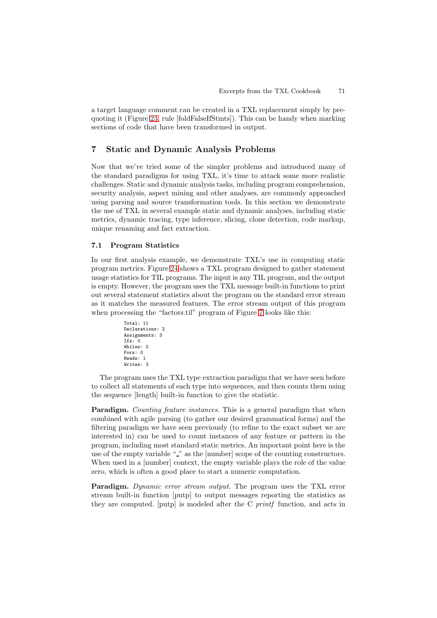a target language comment can be created in a TXL replacement simply by prequoting it (Figure [23,](#page-43-0) rule [foldFalseIfStmts]). This can be handy when marking sections of code that have been transformed in output.

# **7 Static and Dynamic Analysis Problems**

Now that we've tried some of the simpler problems and introduced many of the standard paradigms for using TXL, it's time to attack some more realistic challenges. Static and dynamic analysis tasks, including program comprehension, security analysis, aspect mining and other analyses, are commonly approached using parsing and source transformation tools. In this section we demonstrate the use of TXL in several example static and dynamic analyses, including static metrics, dynamic tracing, type inference, slicing, clone detection, code markup, unique renaming and fact extraction.

### **7.1 Program Statistics**

In our first analysis example, we demonstrate TXL's use in computing static program metrics. Figure [24](#page-45-0) shows a TXL program designed to gather statement usage statistics for TIL programs. The input is any TIL program, and the output is empty. However, the program uses the TXL message built-in functions to print out several statement statistics about the program on the standard error stream as it matches the measured features. The error stream output of this program when processing the "factors.til" program of Figure [7](#page-11-0) looks like this:

```
Total: 11
Declarations: 2
Assignments: 3
Ifs: 0
Whiles: 2
Fors: 0
Reads: 1
Writes: 3
```
The program uses the TXL type extraction paradigm that we have seen before to collect all statements of each type into sequences, and then counts them using the sequence [length] built-in function to give the statistic.

**Paradigm.** *Counting feature instances.* This is a general paradigm that when combined with agile parsing (to gather our desired grammatical forms) and the filtering paradigm we have seen previously (to refine to the exact subset we are interested in) can be used to count instances of any feature or pattern in the program, including most standard static metrics. An important point here is the use of the empty variable " " as the [number] scope of the counting constructors. When used in a [number] context, the empty variable plays the role of the value zero, which is often a good place to start a numeric computation.

**Paradigm.** *Dynamic error stream output.* The program uses the TXL error stream built-in function [putp] to output messages reporting the statistics as they are computed. [putp] is modeled after the C *printf* function, and acts in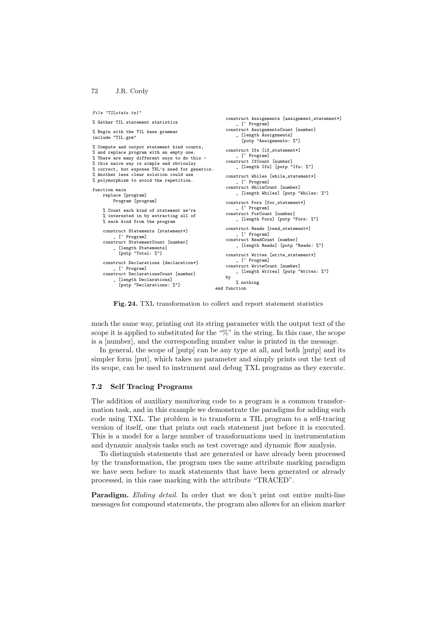```
File "TILstats.txl"
% Gather TIL statement statistics
% Begin with the TIL base grammar
include "TIL.grm"
% Compute and output statement kind counts,
% and replace program with an empty one.
% There are many different ways to do this -
% this naive way is simple and obvioulsy
% correct, but exposes TXL's need for generics.
% Another less clear solution could use
% polymorphism to avoid the repetition.
function main
   replace [program]
       Program [program]
    % Count each kind of statement we're
    % interested in by extracting all of
   % each kind from the program
   construct Statements [statement*]
        _ [^ Program]
   construct StatementCount [number]
        _ [length Statements]
          [putp "Total: %"]
    construct Declarations [declaration*]
        [^ Program]
    construct DeclarationsCount [number]
        _ [length Declarations]
          [putp "Declarations: %"]
                                                    construct Assignments [assignment_statement*]
                                                         _ [^ Program]
                                                     construct AssignmentsCount [number]
                                                        _ [length Assignments]
                                                          [putp "Assignments: %"]
                                                    construct Ifs [if_statement*]
                                                     _ [^ Program]
construct IfCount [number]
                                                         _ [length Ifs] [putp "Ifs: %"]
                                                    construct Whiles [while_statement*]
                                                         _ [^ Program]
                                                    construct WhileCount [number]
                                                        _ [length Whiles] [putp "Whiles: %"]
                                                    construct Fors [for statement*]
                                                         _ [^ Program]
                                                    construct ForCount [number]
                                                        _ [length Fors] [putp "Fors: %"]
                                                    construct Reads [read_statement*]
                                                         _ [^ Program]
                                                    construct ReadCount [number]
                                                         _ [length Reads] [putp "Reads: %"]
                                                    construct Writes [write_statement*]
                                                         _ [^ Program]
                                                    construct WriteCount [number]
                                                        _ [length Writes] [putp "Writes: %"]
                                                    by
                                                        % nothing
                                                end function
```
<span id="page-45-0"></span>**Fig. 24.** TXL transformation to collect and report statement statistics

much the same way, printing out its string parameter with the output text of the scope it is applied to substituted for the "%" in the string. In this case, the scope is a [number], and the corresponding number value is printed in the message.

In general, the scope of [putp] can be any type at all, and both [putp] and its simpler form [put], which takes no parameter and simply prints out the text of its scope, can be used to instrument and debug TXL programs as they execute.

#### **7.2 Self Tracing Programs**

The addition of auxiliary monitoring code to a program is a common transformation task, and in this example we demonstrate the paradigms for adding such code using TXL. The problem is to transform a TIL program to a self-tracing version of itself, one that prints out each statement just before it is executed. This is a model for a large number of transformations used in instrumentation and dynamic analysis tasks such as test coverage and dynamic flow analysis.

To distinguish statements that are generated or have already been processed by the transformation, the program uses the same attribute marking paradigm we have seen before to mark statements that have been generated or already processed, in this case marking with the attribute "TRACED".

**Paradigm.** *Eliding detail.* In order that we don't print out entire multi-line messages for compound statements, the program also allows for an elision marker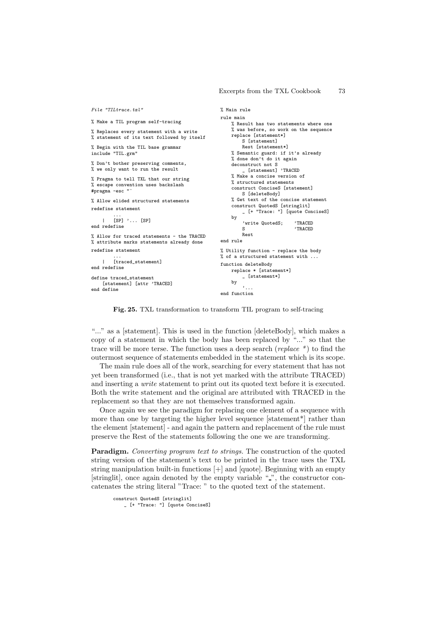```
File "TILtrace.txl"
% Make a TIL program self-tracing
% Replaces every statement with a write
% statement of its text followed by itself
% Begin with the TIL base grammar
include "TIL.grm"
% Don't bother preserving comments,
% we only want to run the result
% Pragma to tell TXL that our string
% escape convention uses backslash
#pragma -esc "¨
% Allow elided structured statements
redefine statement
    ...
| [SP] '... [SP]
end redefine
% Allow for traced statements - the TRACED
% attribute marks statements already done
redefine statement
        ...
    | [traced_statement]
end redefine
define traced_statement
    [statement] [attr 'TRACED]
end define
                                                 % Main rule
                                                 rule main
                                                      % Result has two statements where one
                                                      % was before, so work on the sequence
                                                     replace [statement*]
                                                          S [statement]
                                                          Rest [statement*]
                                                      % Semantic guard: if it's already
% done don't do it again
                                                      deconstruct not S
                                                          _ [statement] 'TRACED
                                                     % Make a concise version of
                                                     % structured statements
                                                     construct ConciseS [statement]
                                                          S [deleteBody]
                                                      % Get text of the concise statement
                                                      construct QuotedS [stringlit]
                                                          _ [+ "Trace: "] [quote ConciseS]
                                                     by
                                                          'write QuotedS; 'TRACED
                                                                              S 'TRACED
                                                          Rest
                                                 end rule
                                                 % Utility function - replace the body
                                                 % of a structured statement with ...
                                                 function deleteBody
                                                     replace * [statement*]
                                                          _ [statement*]
                                                     by
                                                          '...
                                                 end function
```
**Fig. 25.** TXL transformation to transform TIL program to self-tracing

"..." as a [statement]. This is used in the function [deleteBody], which makes a copy of a statement in which the body has been replaced by "..." so that the trace will be more terse. The function uses a deep search (*replace \** ) to find the outermost sequence of statements embedded in the statement which is its scope.

The main rule does all of the work, searching for every statement that has not yet been transformed (i.e., that is not yet marked with the attribute TRACED) and inserting a *write* statement to print out its quoted text before it is executed. Both the write statement and the original are attributed with TRACED in the replacement so that they are not themselves transformed again.

Once again we see the paradigm for replacing one element of a sequence with more than one by targeting the higher level sequence [statement\*] rather than the element [statement] - and again the pattern and replacement of the rule must preserve the Rest of the statements following the one we are transforming.

**Paradigm.** *Converting program text to strings.* The construction of the quoted string version of the statement's text to be printed in the trace uses the TXL string manipulation built-in functions [+] and [quote]. Beginning with an empty [stringlit], once again denoted by the empty variable " ", the constructor concatenates the string literal "Trace: " to the quoted text of the statement.

```
construct QuotedS [stringlit]
    _ [+ "Trace: "] [quote ConciseS]
```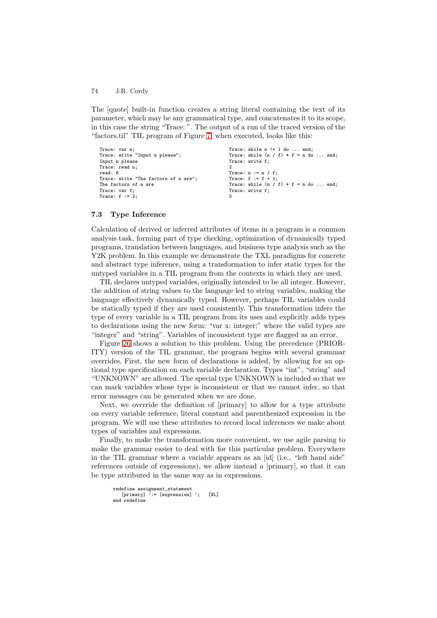The [quote] built-in function creates a string literal containing the text of its parameter, which may be any grammatical type, and concatenates it to its scope, in this case the string "Trace: ". The output of a run of the traced version of the "factors.til" TIL program of Figure [7,](#page-11-0) when executed, looks like this:

```
Trace: var n;
Trace: write "Input n please";
Input n please
Trace: read n;
read: 6
Trace: write "The factors of n are";
The factors of n are
Trace: var f;
Trace: f := 2;
                                                    Trace: while n != 1 do ... end;
                                                    Trace: while (n / f) * f = n d0 ... end;Trace: write f;
                                                    \overline{2}Trace: n := n / f;
                                                    Trace: f := f + 1;
                                                    Trace: while (n / f) * f = n do ... end;
                                                    Trace: write f;
                                                    3
```
### **7.3 Type Inference**

Calculation of derived or inferred attributes of items in a program is a common analysis task, forming part of type checking, optimization of dynamically typed programs, translation between languages, and business type analysis such as the Y2K problem. In this example we demonstrate the TXL paradigms for concrete and abstract type inference, using a transformation to infer static types for the untyped variables in a TIL program from the contexts in which they are used.

TIL declares untyped variables, originally intended to be all integer. However, the addition of string values to the language led to string variables, making the language effectively dynamically typed. However, perhaps TIL variables could be statically typed if they are used consistently. This transformation infers the type of every variable in a TIL program from its uses and explicitly adds types to declarations using the new form: "var x: integer;" where the valid types are "integer" and "string". Variables of inconsistent type are flagged as an error.

Figure [26](#page-48-0) shows a solution to this problem. Using the precedence (PRIOR-ITY) version of the TIL grammar, the program begins with several grammar overrides. First, the new form of declarations is added, by allowing for an optional type specification on each variable declaration. Types "int", "string" and "UNKNOWN" are allowed. The special type UNKNOWN is included so that we can mark variables whose type is inconsistent or that we cannot infer, so that error messages can be generated when we are done.

Next, we override the definition of [primary] to allow for a type attribute on every variable reference, literal constant and parenthesized expression in the program. We will use these attributes to record local inferences we make about types of variables and expressions.

Finally, to make the transformation more convenient, we use agile parsing to make the grammar easier to deal with for this particular problem. Everywhere in the TIL grammar where a variable appears as an [id] (i.e., "left hand side" references outside of expressions), we allow instead a [primary], so that it can be type attributed in the same way as in expressions.

```
redefine assignment_statement
  [primary] ':=[expression] '; [NL]end redefine
```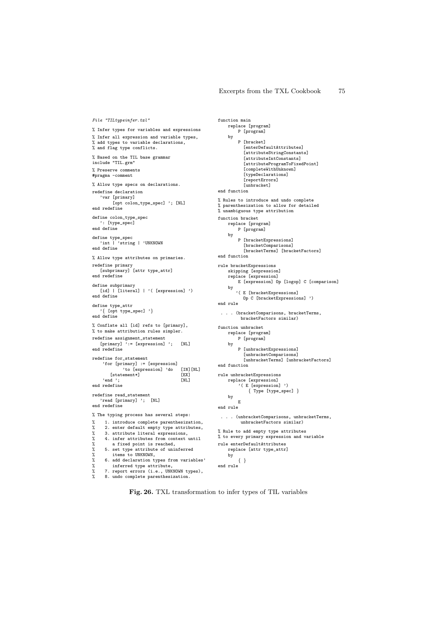```
File "TILtypeinfer.txl"
% Infer types for variables and expressions
% Infer all expression and variable types,
% add types to variable declarations,
% and flag type conflicts.
% Based on the TIL base grammar
include "TIL.grm"
% Preserve comments
#pragma -comment
% Allow type specs on declarations.
redefine declaration
    'var [primary]
          [opt colon_type_spec] '; [NL]
end redefine
define colon_type_spec
    ': [type_spec]
end define
define type_spec
'int | 'string | 'UNKNOWN
end define
% Allow type attributes on primaries.
redefine primary
[subprimary] [attr type_attr]
end redefine
define subprimary
   [id] | [literal] | '( [expression] ')
end define
define type_attr
'{ [opt type_spec] '}
end define
% Conflate all [id] refs to [primary],
% to make attribution rules simpler.
redefine assignment_statement
[primary] ':= [expression] '; [NL]
end redefine
redefine for_statement
     'for [primary] := [expression]
               'to [expression] 'do [IN][NL]
        [statement*] [EX]<br>nd ': [NL]
     'end ';
end redefine
redefine read_statement
    'read [primary] '; [NL]
end redefine
% The typing process has several steps:
% 1. introduce complete parenthesization,<br>\% 2 enter default empty type attributes
      2. enter default empty type attributes,
% 3. attribute literal expressions,<br>% 4. infer attributes from context
% 4. infer attributes from context until<br>% 4. infer attributes from context until<br>% a fixed point is reached.
         a fixed point is reached,
% 5. set type attribute of uninferred
% items to UNKNOWN,
% 6. add declaration types from variables'
% inferred type attribute,<br>% 7. report errors (i.e., UNK
"<br>% 7. report errors (i.e., UNKNOWN types),<br>% 8. undo complete parenthesization.
                                                              function main
                                                                   by
                                                                   by
                                                              end rule
```
replace [program] P [program] by P [bracket] [enterDefaultAttributes] [attributeStringConstants] [attributeIntConstants] -<br>[attributeProgramToFixedPoint] [completeWithUnknown] [typeDeclarations] [reportErrors] [unbracket] end function % Rules to introduce and undo complete parenthesization to allow for detailed % unambiguous type attribution function bracket replace [program] erator (program)<br>P [program] by P [bracketExpressions] [bracketComparisons] [bracketTerms] [bracketFactors] end function rule bracketExpressions skipping [expression] replace [expression] E [expression] Op [logop] C [comparison] '( E [bracketExpressions] Op C [bracketExpressions] ') end rule . . . (bracketComparisons, bracketTerms, bracketFactors similar) function unbracket replace [program] P [program] P [unbracketExpressions] [unbracketComparisons] [unbracketTerms] [unbracketFactors] end function rule unbracketExpressions replace [expression] '( E [expression] ') { Type [type\_spec] } by E end rule . . . (unbracketComparisons, unbracketTerms, unbracketFactors similar) % Rule to add empty type attributes % to every primary expression and variable rule enterDefaultAttributes replace [attr type\_attr] by { }

8. undo complete parenthesization.

<span id="page-48-0"></span>**Fig. 26.** TXL transformation to infer types of TIL variables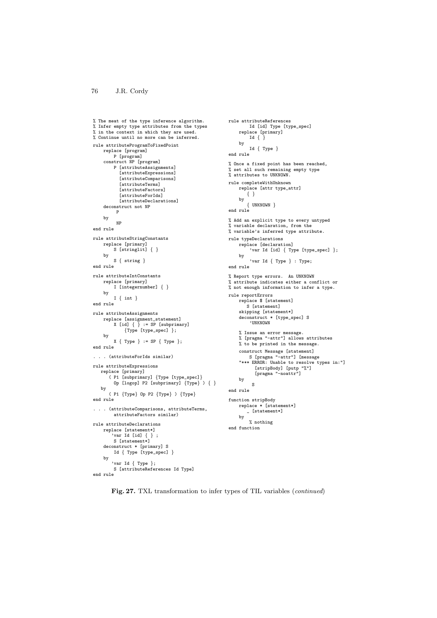```
% The meat of the type inference algorithm.
% Infer empty type attributes from the types
% in the context in which they are used.
% Continue until no more can be inferred.
rule attributeProgramToFixedPoint
    replace [program]
        P [program]
    construct NP [program]
         P [attributeAssignments]
            [attributeExpressions]
            [attributeComparisons]
            [attributeTerms]
            [attributeFactors]
            [attributeForIds]
           [attributeDeclarations]
    deconstruct not NP
          P
    by
          NP
end rule
rule attributeStringConstants
    replace [primary]
        S [stringlit] { }
    by
        S { string }
end rule
rule attributeIntConstants
    replace [primary]
        I [integernumber] { }
    by
         I { int }
end rule
rule attributeAssignments
    replace [assignment_statement]
          X [id] { } := SP [subprimary]
{Type [type_spec] };
    by
        X \{ Type \} := SP \{ Type \};end rule
. . . (attributeForIds similar)
rule attributeExpressions
    replace [primary]
( P1 [subprimary] {Type [type_spec]}
         Op [logop] P2 [subprimary] {Type} ) { }
   by
       \left( \begin{array}{ccc} \texttt{P1} & \{\texttt{Type}\} & \texttt{Op P2} & \{\texttt{Type}\} \end{array} \right) \hspace{.1cm} \left\{ \texttt{Type}\right\}end rule
. . . (attributeComparisons, attributeTerms,
         attributeFactors similar)
rule attributeDeclarations
     replace [statement*]
'var Id [id] { } ;
         S [statement*]
    deconstruct * [primary] S
        Id { Type [type_spec] }
    by
        'var Id { Type };
         S [attributeReferences Id Type]
end rule
```

```
rule attributeReferences
        Id [id] Type [type_spec]
    replace [primary]
        Id { }
    by
        Id { Type }
end rule
% Once a fixed point has been reached,
% set all such remaining empty type
% attributes to UNKNOWN.
rule completeWithUnknown
    replace [attr type_attr]
       \{ \}by
       { UNKNOWN }
end rule
% Add an explicit type to every untyped
% variable declaration, from the
% variable's inferred type attribute.
rule typeDeclarations
    replace [declaration]
         'var Id [id] { Type [type_spec] };
    by
        'var Id { Type } : Type;
end rule
% Report type errors. An UNKNOWN
% attribute indicates either a conflict or
% not enough information to infer a type.
rule reportErrors
    replace $ [statement]
       S [statement]
     skipping [statement*]
deconstruct * [type_spec] S
         'UNKNOWN
    % Issue an error message.
    % [pragma "-attr"] allows attributes
    % to be printed in the message.
     construct Message [statement]
S [pragma "-attr"] [message
    "*** ERROR: Unable to resolve types in:"]
           [stripBody] [putp "%"]
[pragma "-noattr"]
    by
        S
end rule
function stripBody
    replace * [statement*]
       _ [statement*]
    by
        % nothing
end function
```
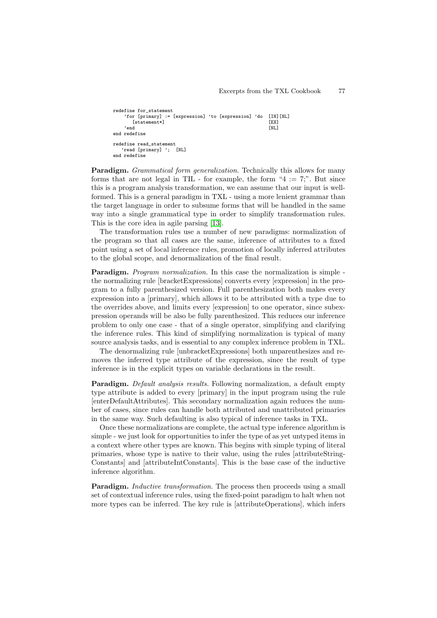```
redefine for_statement
   'for [primary] := [expression] 'to [expression] 'do [IN][NL]
    [statement*] [EX]
   'end [NL]
end redefine
redefine read_statement
  'read [primary] '; [NL]
end redefine
```
**Paradigm.** *Grammatical form generalization.* Technically this allows for many forms that are not legal in TIL - for example, the form " $4 := 7$ ;". But since this is a program analysis transformation, we can assume that our input is wellformed. This is a general paradigm in TXL - using a more lenient grammar than the target language in order to subsume forms that will be handled in the same way into a single grammatical type in order to simplify transformation rules. This is the core idea in agile parsing [\[13\]](#page-64-7).

The transformation rules use a number of new paradigms: normalization of the program so that all cases are the same, inference of attributes to a fixed point using a set of local inference rules, promotion of locally inferred attributes to the global scope, and denormalization of the final result.

**Paradigm.** *Program normalization.* In this case the normalization is simple the normalizing rule [bracketExpressions] converts every [expression] in the program to a fully parenthesized version. Full parenthesization both makes every expression into a [primary], which allows it to be attributed with a type due to the overrides above, and limits every [expression] to one operator, since subexpression operands will be also be fully parenthesized. This reduces our inference problem to only one case - that of a single operator, simplifying and clarifying the inference rules. This kind of simplifying normalization is typical of many source analysis tasks, and is essential to any complex inference problem in TXL.

The denormalizing rule [unbracketExpressions] both unparenthesizes and removes the inferred type attribute of the expression, since the result of type inference is in the explicit types on variable declarations in the result.

**Paradigm.** *Default analysis results.* Following normalization, a default empty type attribute is added to every [primary] in the input program using the rule [enterDefaultAttributes]. This secondary normalization again reduces the number of cases, since rules can handle both attributed and unattributed primaries in the same way. Such defaulting is also typical of inference tasks in TXL.

Once these normalizations are complete, the actual type inference algorithm is simple - we just look for opportunities to infer the type of as yet untyped items in a context where other types are known. This begins with simple typing of literal primaries, whose type is native to their value, using the rules [attributeString-Constants] and [attributeIntConstants]. This is the base case of the inductive inference algorithm.

**Paradigm.** *Inductive transformation.* The process then proceeds using a small set of contextual inference rules, using the fixed-point paradigm to halt when not more types can be inferred. The key rule is [attributeOperations], which infers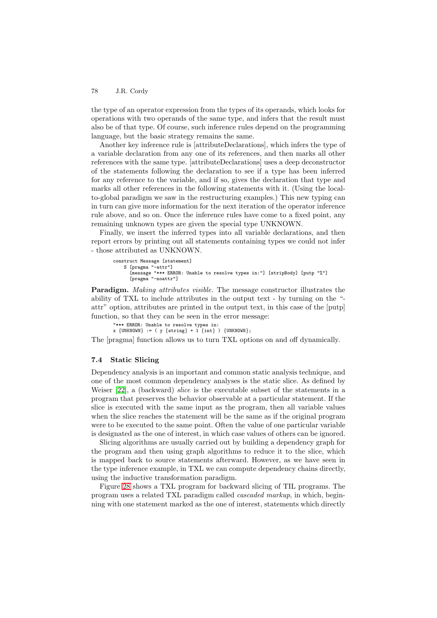the type of an operator expression from the types of its operands, which looks for operations with two operands of the same type, and infers that the result must also be of that type. Of course, such inference rules depend on the programming language, but the basic strategy remains the same.

Another key inference rule is [attributeDeclarations], which infers the type of a variable declaration from any one of its references, and then marks all other references with the same type. [attributeDeclarations] uses a deep deconstructor of the statements following the declaration to see if a type has been inferred for any reference to the variable, and if so, gives the declaration that type and marks all other references in the following statements with it. (Using the localto-global paradigm we saw in the restructuring examples.) This new typing can in turn can give more information for the next iteration of the operator inference rule above, and so on. Once the inference rules have come to a fixed point, any remaining unknown types are given the special type UNKNOWN.

Finally, we insert the inferred types into all variable declarations, and then report errors by printing out all statements containing types we could not infer - those attributed as UNKNOWN.

```
construct Message [statement]
   S [pragma "-attr"]
      [message "*** ERROR: Unable to resolve types in:"] [stripBody] [putp "%"]
      [pragma "-noattr"]
```
**Paradigm.** *Making attributes visible.* The message constructor illustrates the ability of TXL to include attributes in the output text - by turning on the " attr" option, attributes are printed in the output text, in this case of the [putp] function, so that they can be seen in the error message:

"\*\*\* ERROR: Unable to resolve types in:  $x \{UNKNOWN\} := (y \{string\} + 1 \{int\}) \{UNKNOWN\};$ 

The [pragma] function allows us to turn TXL options on and off dynamically.

### **7.4 Static Slicing**

Dependency analysis is an important and common static analysis technique, and one of the most common dependency analyses is the static slice. As defined by Weiser [\[22\]](#page-64-8), a (backward) *slice* is the executable subset of the statements in a program that preserves the behavior observable at a particular statement. If the slice is executed with the same input as the program, then all variable values when the slice reaches the statement will be the same as if the original program were to be executed to the same point. Often the value of one particular variable is designated as the one of interest, in which case values of others can be ignored.

Slicing algorithms are usually carried out by building a dependency graph for the program and then using graph algorithms to reduce it to the slice, which is mapped back to source statements afterward. However, as we have seen in the type inference example, in TXL we can compute dependency chains directly, using the inductive transformation paradigm.

Figure [28](#page-53-0) shows a TXL program for backward slicing of TIL programs. The program uses a related TXL paradigm called *cascaded markup*, in which, beginning with one statement marked as the one of interest, statements which directly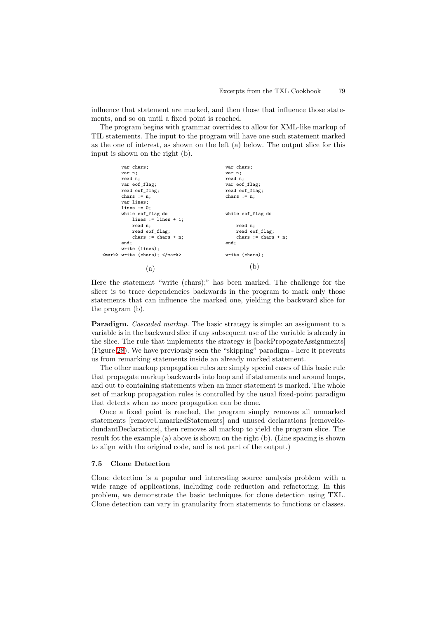influence that statement are marked, and then those that influence those statements, and so on until a fixed point is reached.

The program begins with grammar overrides to allow for XML-like markup of TIL statements. The input to the program will have one such statement marked as the one of interest, as shown on the left (a) below. The output slice for this input is shown on the right (b).

| var chars;     |                               | var chars;              |  |
|----------------|-------------------------------|-------------------------|--|
| var n;         |                               | var n;                  |  |
| read n;        |                               | read n;                 |  |
|                | var eof_flag;                 | var eof_flag;           |  |
|                | read eof_flag;                | read eof_flag;          |  |
| chars $:= n$ ; |                               | chars $:= n$ ;          |  |
| var lines;     |                               |                         |  |
| lines $:= 0$ ; |                               |                         |  |
|                | while eof_flag do             | while eof_flag do       |  |
|                | lines := lines + 1;           |                         |  |
|                | read n;                       | read n;                 |  |
|                | read eof_flag;                | read eof_flag;          |  |
|                | chars $:=$ chars $+$ n;       | chars $:=$ chars $+$ n; |  |
| end;           |                               | end;                    |  |
|                | write (lines);                |                         |  |
|                | <mark> write (chars); </mark> | write (chars);          |  |
|                |                               |                         |  |
|                |                               |                         |  |

Here the statement "write (chars);" has been marked. The challenge for the slicer is to trace dependencies backwards in the program to mark only those statements that can influence the marked one, yielding the backward slice for the program (b).

**Paradigm.** *Cascaded markup.* The basic strategy is simple: an assignment to a variable is in the backward slice if any subsequent use of the variable is already in the slice. The rule that implements the strategy is [backPropogateAssignments] (Figure [28\)](#page-53-0). We have previously seen the "skipping" paradigm - here it prevents us from remarking statements inside an already marked statement.

The other markup propagation rules are simply special cases of this basic rule that propagate markup backwards into loop and if statements and around loops, and out to containing statements when an inner statement is marked. The whole set of markup propagation rules is controlled by the usual fixed-point paradigm that detects when no more propagation can be done.

Once a fixed point is reached, the program simply removes all unmarked statements [removeUnmarkedStatements] and unused declarations [removeRedundantDeclarations], then removes all markup to yield the program slice. The result fot the example (a) above is shown on the right (b). (Line spacing is shown to align with the original code, and is not part of the output.)

#### **7.5 Clone Detection**

Clone detection is a popular and interesting source analysis problem with a wide range of applications, including code reduction and refactoring. In this problem, we demonstrate the basic techniques for clone detection using TXL. Clone detection can vary in granularity from statements to functions or classes.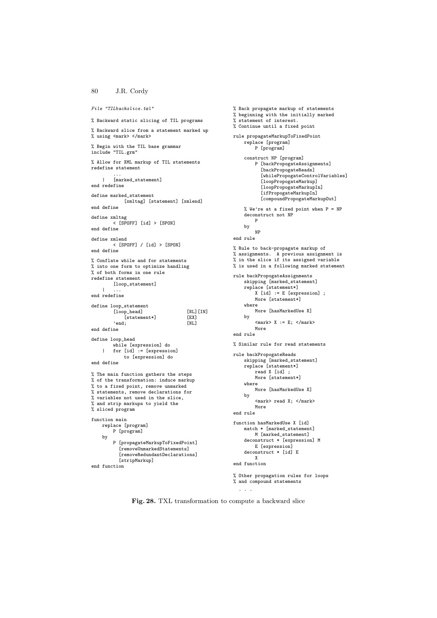```
File "TILbackslice.txl"
% Backward static slicing of TIL programs
% Backward slice from a statement marked up
% using <mark> </mark>
% Begin with the TIL base grammar
include "TIL.grm"
% Allow for XML markup of TIL statements
redefine statement
    ...
| [marked_statement]
end redefine
define marked_statement
            [xmltag] [statement] [xmlend]
end define
define xmltag
< [SPOFF] [id] > [SPON]
end define
define xmlend
        < [SPOFF] / [id] > [SPON]
end define
% Conflate while and for statements
% into one form to optimize handling
% of both forms in one rule
redefine statement
        [loop_statement]
| ...
end redefine
define loop_statement
        [100p_head] [NL][IN]<br>[statement*] [EX]
             [statement*] [EX]<br>1: [NL]
         'end;
end define
define loop_head
        while [expression] do
    | for [id] := [expression]
            to [expression] do
end define
% The main function gathers the steps
% of the transformation: induce markup
% to a fixed point, remove unmarked
% statements, remove declarations for
% variables not used in the slice,
% and strip markups to yield the
% sliced program
function main
    replace [program]
         P [program]
    by
        P [propagateMarkupToFixedPoint]
           [removeUnmarkedStatements]
           [removeRedundantDeclarations]
          [stripMarkup]
end function
```

```
% Back propagate markup of statements
% beginning with the initially marked
% statement of interest.
% Continue until a fixed point
rule propagateMarkupToFixedPoint
    replace [program]
        P [program]
    construct NP [program]
        P [backPropogateAssignments]
           [backPropogateReads]
           [whilePropogateControlVariables]
           [loopPropogateMarkup]
           [loopPropogateMarkupIn]
           [ifPropogateMarkupIn]
           [compoundPropogateMarkupOut]
    % We're at a fixed point when P = NP
    deconstruct not NP
        P
    by
        NP
end rule
% Rule to back-propagate markup of
% assignments. A previous assignment is
% in the slice if its assigned variable
% is used in a following marked statement
rule backPropogateAssignments
    skipping [marked_statement]
    replace [statement*]
        X [id] := E [expression] ;
        More [statement*]
    where
        More [hasMarkedUse X]
    by
        <mark> X := E; </mark>
        More
end rule
% Similar rule for read statements
rule backPropogateReads
    skipping [marked_statement]
    replace [statement*]
        read X [id] ;
        More [statement*]
    where
        More [hasMarkedUse X]
    by
        <mark> read X; </mark>
        More
end rule
function hasMarkedUse X [id]
    match * [marked_statement]
        M [marked_statement]
    deconstruct * [expression] M
    E [expression]
deconstruct * [id] E
        X
end function
% Other propagation rules for loops
% and compound statements
```
<span id="page-53-0"></span>**Fig. 28.** TXL transformation to compute a backward slice

...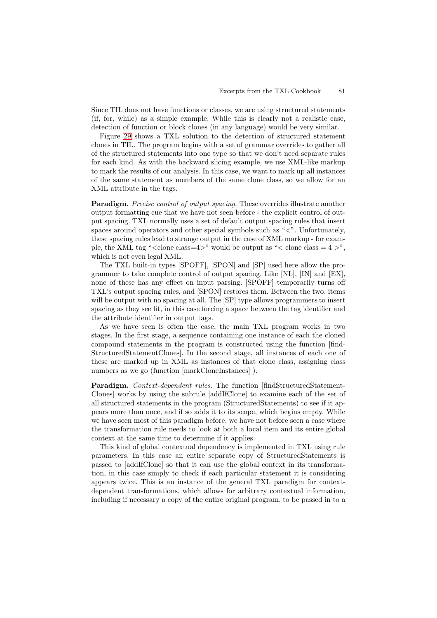Since TIL does not have functions or classes, we are using structured statements (if, for, while) as a simple example. While this is clearly not a realistic case, detection of function or block clones (in any language) would be very similar.

Figure [29](#page-55-0) shows a TXL solution to the detection of structured statement clones in TIL. The program begins with a set of grammar overrides to gather all of the structured statements into one type so that we don't need separate rules for each kind. As with the backward slicing example, we use XML-like markup to mark the results of our analysis. In this case, we want to mark up all instances of the same statement as members of the same clone class, so we allow for an XML attribute in the tags.

**Paradigm.** *Precise control of output spacing.* These overrides illustrate another output formatting cue that we have not seen before - the explicit control of output spacing. TXL normally uses a set of default output spacing rules that insert spaces around operators and other special symbols such as "*<*". Unfortunately, these spacing rules lead to strange output in the case of XML markup - for example, the XML tag " $\lt$ clone class=4 $\gt$ " would be output as " $\lt$  clone class = 4 $\gt$ ", which is not even legal XML.

The TXL built-in types [SPOFF], [SPON] and [SP] used here allow the programmer to take complete control of output spacing. Like [NL], [IN] and [EX], none of these has any effect on input parsing. [SPOFF] temporarily turns off TXL's output spacing rules, and [SPON] restores them. Between the two, items will be output with no spacing at all. The  $[SP]$  type allows programmers to insert spacing as they see fit, in this case forcing a space between the tag identifier and the attribute identifier in output tags.

As we have seen is often the case, the main TXL program works in two stages. In the first stage, a sequence containing one instance of each the cloned compound statements in the program is constructed using the function [find-StructuredStatementClones]. In the second stage, all instances of each one of these are marked up in XML as instances of that clone class, assigning class numbers as we go (function  $[\text{markCloneInstantes}]$ ).

**Paradigm.** *Context-dependent rules.* The function [findStructuredStatement-Clones] works by using the subrule [addIfClone] to examine each of the set of all structured statements in the program (StructuredStatements) to see if it appears more than once, and if so adds it to its scope, which begins empty. While we have seen most of this paradigm before, we have not before seen a case where the transformation rule needs to look at both a local item and its entire global context at the same time to determine if it applies.

This kind of global contextual dependency is implemented in TXL using rule parameters. In this case an entire separate copy of StructuredStatements is passed to [addIfClone] so that it can use the global context in its transformation, in this case simply to check if each particular statement it is considering appears twice. This is an instance of the general TXL paradigm for contextdependent transformations, which allows for arbitrary contextual information, including if necessary a copy of the entire original program, to be passed in to a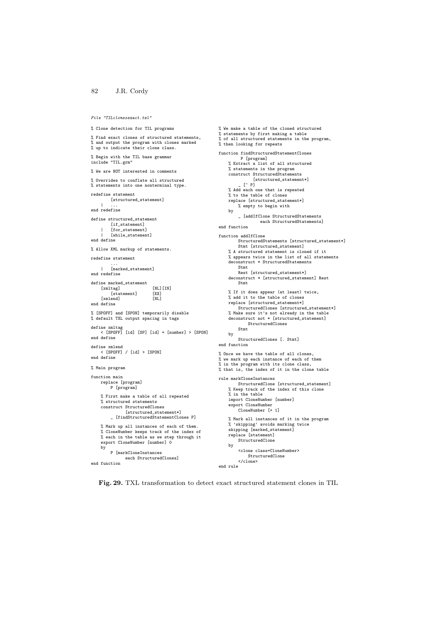File "TILclonesexact.txl"

% Clone detection for TIL programs % Find exact clones of structured statements, % and output the program with clones marked % up to indicate their clone class. % Begin with the TIL base grammar include "TIL.grm" % We are NOT interested in comments % Overrides to conflate all structured % statements into one nonterminal type. redefine statement [structured\_statement] | ... end redefine define structured\_statement [if\_statement] | [for\_statement] [while\_statement] end define % Allow XML markup of statements. redefine statement ... | [marked\_statement] end redefine define marked\_statement [xmltag] [NL][IN]<br>[statement] [EX] [xmlend] [NL] end define % [SPOFF] and [SPON] temporarily disable % default TXL output spacing in tags define xmltag < [SPOFF] [id] [SP] [id] = [number] > [SPON] end define define xmlend < [SPOFF] / [id] > [SPON] end define % Main program function main replace [program] P [program] % First make a table of all repeated % structured statements construct StructuredClones [structured\_statement\*] \_ [findStructuredStatementClones P] % Mark up all instances of each of them. % CloneNumber keeps track of the index of % each in the table as we step through it export CloneNumber [number] 0 by P [markCloneInstances each StructuredClones] end function

% We make a table of the cloned structured % statements by first making a table % of all structured statements in the program, % then looking for repeats function findStructuredStatementClones P [program] % Extract a list of all structured % statements in the program construct StructuredStatements [structured\_statement\*] \_ [^ P] % Add each one that is repeated % to the table of clones replace [structured\_statement\*] % empty to begin with by \_ [addIfClone StructuredStatements each StructuredStatements] end function function addIfClone StructuredStatements [structured\_statement\*] Stmt [structured\_statement] % A structured statement is cloned if it % appears twice in the list of all statements deconstruct \* StructuredStatements Stmt Rest [structured\_statement\*] deconstruct \* [structured\_statement] Rest Stmt % If it does appear (at least) twice, % add it to the table of clones replace [structured\_statement\*] StructuredClones [structured\_statement\*] % Make sure it's not already in the table deconstruct not \* [structured\_statement] StructuredClones Stmt by StructuredClones [. Stmt] end function % Once we have the table of all clones, % we mark up each instance of each of them  $%$  in the program with its clone class, % in the program with its clone class, % that is, the index of it in the clone table rule markCloneInstances StructuredClone [structured\_statement] % Keep track of the index of this clone % in the table import CloneNumber [number] export CloneNumber CloneNumber [+ 1] % Mark all instances of it in the program % 'skipping' avoids marking twice skipping [marked\_statement] replace [statement] StructuredClone by <clone class=CloneNumber> StructuredClone

<span id="page-55-0"></span>

**Fig. 29.** TXL transformation to detect exact structured statement clones in TIL

end rule

</clone>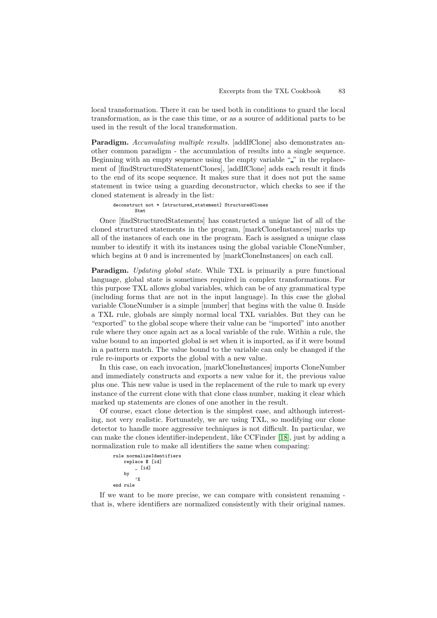local transformation. There it can be used both in conditions to guard the local transformation, as is the case this time, or as a source of additional parts to be used in the result of the local transformation.

**Paradigm.** *Accumulating multiple results.* [addIfClone] also demonstrates another common paradigm - the accumulation of results into a single sequence. Beginning with an empty sequence using the empty variable "." in the replacement of [findStructuredStatementClones], [addIfClone] adds each result it finds to the end of its scope sequence. It makes sure that it does not put the same statement in twice using a guarding deconstructor, which checks to see if the cloned statement is already in the list:

deconstruct not \* [structured\_statement] StructuredClones Stmt

Once [findStructuredStatements] has constructed a unique list of all of the cloned structured statements in the program, [markCloneInstances] marks up all of the instances of each one in the program. Each is assigned a unique class number to identify it with its instances using the global variable CloneNumber, which begins at 0 and is incremented by  $[markCloneInstances]$  on each call.

**Paradigm.** *Updating global state.* While TXL is primarily a pure functional language, global state is sometimes required in complex transformations. For this purpose TXL allows global variables, which can be of any grammatical type (including forms that are not in the input language). In this case the global variable CloneNumber is a simple [number] that begins with the value 0. Inside a TXL rule, globals are simply normal local TXL variables. But they can be "exported" to the global scope where their value can be "imported" into another rule where they once again act as a local variable of the rule. Within a rule, the value bound to an imported global is set when it is imported, as if it were bound in a pattern match. The value bound to the variable can only be changed if the rule re-imports or exports the global with a new value.

In this case, on each invocation, [markCloneInstances] imports CloneNumber and immediately constructs and exports a new value for it, the previous value plus one. This new value is used in the replacement of the rule to mark up every instance of the current clone with that clone class number, making it clear which marked up statements are clones of one another in the result.

Of course, exact clone detection is the simplest case, and although interesting, not very realistic. Fortunately, we are using TXL, so modifying our clone detector to handle more aggressive techniques is not difficult. In particular, we can make the clones identifier-independent, like CCFinder [\[18\]](#page-64-9), just by adding a normalization rule to make all identifiers the same when comparing:

```
rule normalizeIdentifiers
    replace $ [id]
       _ [id]
    by
        'X
end rule
```
If we want to be more precise, we can compare with consistent renaming that is, where identifiers are normalized consistently with their original names.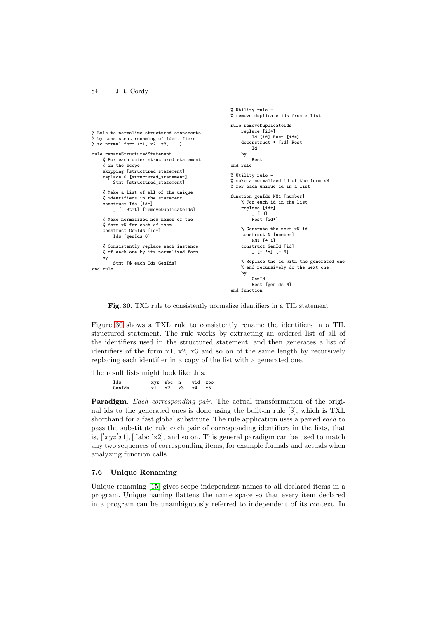```
% Rule to normalize structured statements
% by consistent renaming of identifiers
% to normal form (x1, x2, x3, ...)rule renameStructuredStatement
    % For each outer structured statement
    % in the scope
    skipping [structured_statement]
    replace $ [structured_statement]
       Stmt [structured_statement]
    % Make a list of all of the unique
    % identifiers in the statement
    construct Ids [id*]
        _ [^ Stmt] [removeDuplicateIds]
    % Make normalized new names of the
    % form xN for each of them
    construct GenIds [id*]
        Ids [genIds 0]
    % Consistently replace each instance
    % of each one by its normalized form
    by
        Stmt [$ each Ids GenIds]
end rule
                                                      % remove duplicate ids from a list
                                                      rule removeDuplicateIds
                                                          replace [id*]
                                                             Id [id] Rest [id*]
                                                          deconstruct * [id] Rest
                                                              Id
                                                          by
                                                              Rest
                                                      end rule
                                                      % Utility rule -
                                                      % make a normalized id of the form xN
                                                      % for each unique id in a list
                                                      function genIds NM1 [number]
                                                          % For each id in the list
                                                          replace [id*]
                                                               _ [id]
                                                              Rest [id*]
                                                          % Generate the next xN id
                                                          construct N [number]
                                                              NM1 [+ 1]
                                                          construct GenId [id]
                                                              \_ [+ ^{\prime} x] \, [+ \, N] \,% Replace the id with the generated one
                                                          % and recursively do the next one
                                                          by
                                                              GenId
                                                              Rest [genIds N]
                                                      end function
```
% Utility rule -

<span id="page-57-0"></span>**Fig. 30.** TXL rule to consistently normalize identifiers in a TIL statement

Figure [30](#page-57-0) shows a TXL rule to consistently rename the identifiers in a TIL structured statement. The rule works by extracting an ordered list of all of the identifiers used in the structured statement, and then generates a list of identifiers of the form  $x1$ ,  $x2$ ,  $x3$  and so on of the same length by recursively replacing each identifier in a copy of the list with a generated one.

The result lists might look like this:

Ids xyz abc n wid zoo  $x1 \quad x2$ 

**Paradigm.** *Each corresponding pair.* The actual transformation of the original ids to the generated ones is done using the built-in rule [\$], which is TXL shorthand for a fast global substitute. The rule application uses a paired *each* to pass the substitute rule each pair of corresponding identifiers in the lists, that is,  $[xyz'x]$ ,  $[}'abc'x2]$ , and so on. This general paradigm can be used to match any two sequences of corresponding items, for example formals and actuals when analyzing function calls.

### **7.6 Unique Renaming**

Unique renaming [\[15\]](#page-64-10) gives scope-independent names to all declared items in a program. Unique naming flattens the name space so that every item declared in a program can be unambiguously referred to independent of its context. In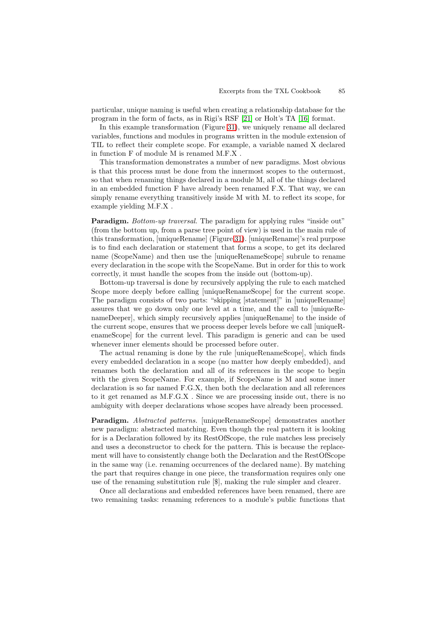particular, unique naming is useful when creating a relationship database for the program in the form of facts, as in Rigi's RSF [\[21\]](#page-64-11) or Holt's TA [\[16\]](#page-64-12) format.

In this example transformation (Figure [31\)](#page-59-0), we uniquely rename all declared variables, functions and modules in programs written in the module extension of TIL to reflect their complete scope. For example, a variable named X declared in function F of module M is renamed M.F.X .

This transformation demonstrates a number of new paradigms. Most obvious is that this process must be done from the innermost scopes to the outermost, so that when renaming things declared in a module M, all of the things declared in an embedded function F have already been renamed F.X. That way, we can simply rename everything transitively inside M with M. to reflect its scope, for example yielding M.F.X .

**Paradigm.** *Bottom-up traversal.* The paradigm for applying rules "inside out" (from the bottom up, from a parse tree point of view) is used in the main rule of this transformation, [uniqueRename] (Figure [31\)](#page-59-0). [uniqueRename]'s real purpose is to find each declaration or statement that forms a scope, to get its declared name (ScopeName) and then use the [uniqueRenameScope] subrule to rename every declaration in the scope with the ScopeName. But in order for this to work correctly, it must handle the scopes from the inside out (bottom-up).

Bottom-up traversal is done by recursively applying the rule to each matched Scope more deeply before calling [uniqueRenameScope] for the current scope. The paradigm consists of two parts: "skipping [statement]" in [uniqueRename] assures that we go down only one level at a time, and the call to [uniqueRenameDeeper], which simply recursively applies [uniqueRename] to the inside of the current scope, ensures that we process deeper levels before we call [uniqueRenameScope] for the current level. This paradigm is generic and can be used whenever inner elements should be processed before outer.

The actual renaming is done by the rule [uniqueRenameScope], which finds every embedded declaration in a scope (no matter how deeply embedded), and renames both the declaration and all of its references in the scope to begin with the given ScopeName. For example, if ScopeName is M and some inner declaration is so far named F.G.X, then both the declaration and all references to it get renamed as M.F.G.X . Since we are processing inside out, there is no ambiguity with deeper declarations whose scopes have already been processed.

**Paradigm.** *Abstracted patterns.* [uniqueRenameScope] demonstrates another new paradigm: abstracted matching. Even though the real pattern it is looking for is a Declaration followed by its RestOfScope, the rule matches less precisely and uses a deconstructor to check for the pattern. This is because the replacement will have to consistently change both the Declaration and the RestOfScope in the same way (i.e. renaming occurrences of the declared name). By matching the part that requires change in one piece, the transformation requires only one use of the renaming substitution rule [\$], making the rule simpler and clearer.

Once all declarations and embedded references have been renamed, there are two remaining tasks: renaming references to a module's public functions that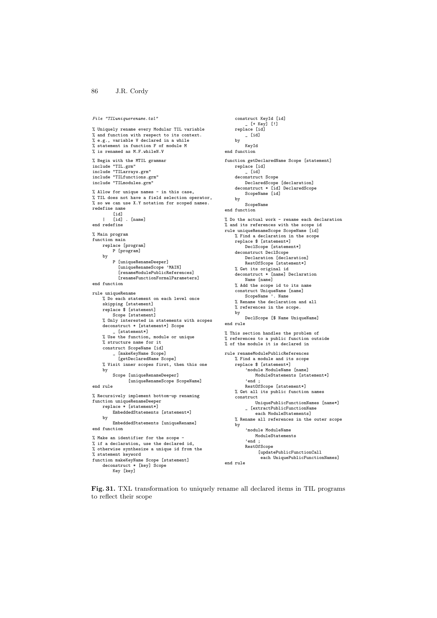File "TILuniquerename.txl"

```
% Uniquely rename every Modular TIL variable
% and function with respect to its context.
% e.g., variable V declared in a while
% statement in function F of module M
% is renamed as M.F.whileN.V
% Begin with the MTIL grammar
include "TIL.grm"
include "TILarrays.grm"
include "TILfunctions.grm"
include "TILmodules.grm"
% Allow for unique names - in this case,
% HILL does not have a field selection operator,
% so we can use X.Y notation for scoped names.
redefine name
        [id]
    | [id] . [name]
end redefine
% Main program
function main
    replace [program]
        P [program]
    by
        P [uniqueRenameDeeper]
           [uniqueRenameScope 'MAIN]
[renameModulePublicReferences]
           [renameFunctionFormalParameters]
end function
rule uniqueRename
    % Do each statement on each level once
    skipping [statement]
replace $ [statement]
        Scope [statement]
    % Only interested in statements with scopes
    deconstruct * [statement*] Scope
        _ [statement*]
    % Use the function, module or unique
    % structure name for it
    construct ScopeName [id]
         _ [makeKeyName Scope]
[getDeclaredName Scope]
    % Visit inner scopes first, then this one
    by
        Scope [uniqueRenameDeeper]
               [uniqueRenameScope ScopeName]
end rule
% Recursively implement bottom-up renaming
function uniqueRenameDeeper
    replace * [statement*]
        EmbeddedStatements [statement*]
    by
        EmbeddedStatements [uniqueRename]
end function
% Make an identifier for the scope -
% if a declaration, use the declared id,
% otherwise synthesize a unique id from the
% statement keyword
function makeKeyName Scope [statement]
deconstruct * [key] Scope
        Key [key]
```
construct KeyId [id] \_ [+ Key] [!] replace [id] \_ [id] by KeyId end function function getDeclaredName Scope [statement] replace [id]  $\_$  [id] deconstruct Scope DeclaredScope [declaration] deconstruct \* [id] DeclaredScope ScopeName [id] by ScopeName end function % Do the actual work - rename each declaration % and its references with the scope id rule uniqueRenameScope ScopeName [id] % Find a declaration in the scope replace \$ [statement\*] DeclScope [statement\*] deconstruct DeclScope Declaration [declaration] RestOfScope [statement\*] % Get its original id deconstruct \* [name] Declaration Name [name] % Add the scope id to its name construct UniqueName [name] ScopeName '. Name % Rename the declaration and all % references in the scope. by DeclScope [\$ Name UniqueName] end rule % This section handles the problem of % references to a public function outside % of the module it is declared in rule renameModulePublicReferences % Find a module and its scope replace \$ [statement\*] 'module ModuleName [name] ModuleStatements [statement\*] 'end ; RestOfScope [statement\*] % Get all its public function names construct UniquePublicFunctionNames [name\*] \_ [extractPublicFunctionName each ModuleStatements] % Rename all references in the outer scope by 'module ModuleName ModuleStatements 'end ; RestOfScope [updatePublicFunctionCall each UniquePublicFunctionNames]

end rule

<span id="page-59-0"></span>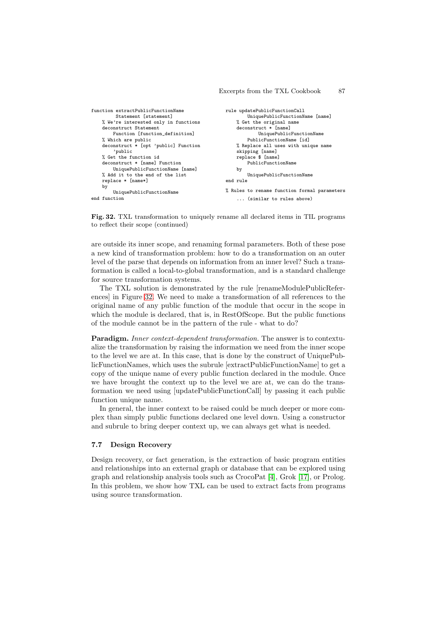#### Excerpts from the TXL Cookbook 87

```
function extractPublicFunctionName
         Statement [statement]
   % We're interested only in functions
   deconstruct Statement
        Function [function definition]
    % Which are public
    deconstruct * [opt 'public] Function
        'public
    % Get the function id
    deconstruct * [name] Function
        UniquePublicFunctionName [name]
    % Add it to the end of the list
    replace * [name*]
   by
       UniquePublicFunctionName
end function
                                                  rule updatePublicFunctionCall
                                                          UniquePublicFunctionName [name]
                                                      % Get the original name
                                                      deconstruct * [name]
                                                              UniquePublicFunctionName
                                                          PublicFunctionName [id]
                                                      % Replace all uses with unique name
                                                      skipping [name]
                                                      replace $ [name]
                                                          PublicFunctionName
                                                      by
                                                          UniquePublicFunctionName
                                                  end rule
                                                  % Rules to rename function formal parameters
                                                      ... (similar to rules above)
```


<span id="page-60-0"></span>are outside its inner scope, and renaming formal parameters. Both of these pose a new kind of transformation problem: how to do a transformation on an outer level of the parse that depends on information from an inner level? Such a transformation is called a local-to-global transformation, and is a standard challenge for source transformation systems.

The TXL solution is demonstrated by the rule [renameModulePublicReferences] in Figure [32.](#page-60-0) We need to make a transformation of all references to the original name of any public function of the module that occur in the scope in which the module is declared, that is, in RestOfScope. But the public functions of the module cannot be in the pattern of the rule - what to do?

**Paradigm.** *Inner context-dependent transformation.* The answer is to contextualize the transformation by raising the information we need from the inner scope to the level we are at. In this case, that is done by the construct of UniquePublicFunctionNames, which uses the subrule [extractPublicFunctionName] to get a copy of the unique name of every public function declared in the module. Once we have brought the context up to the level we are at, we can do the transformation we need using [updatePublicFunctionCall] by passing it each public function unique name.

In general, the inner context to be raised could be much deeper or more complex than simply public functions declared one level down. Using a constructor and subrule to bring deeper context up, we can always get what is needed.

### **7.7 Design Recovery**

Design recovery, or fact generation, is the extraction of basic program entities and relationships into an external graph or database that can be explored using graph and relationship analysis tools such as CrocoPat [\[4\]](#page-63-8), Grok [\[17\]](#page-64-13), or Prolog. In this problem, we show how TXL can be used to extract facts from programs using source transformation.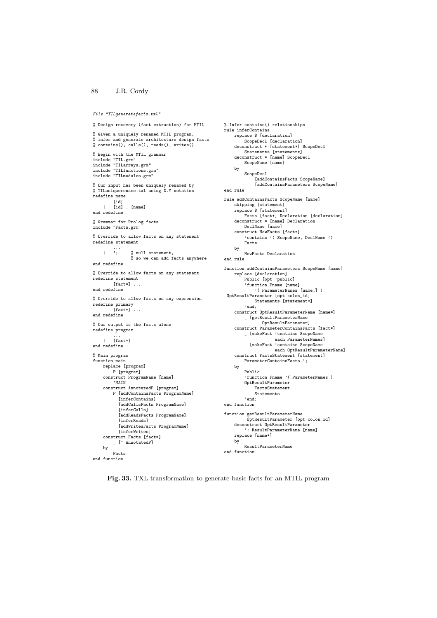File "TILgeneratefacts.txl"

```
% Design recovery (fact extraction) for MTIL
% Given a uniquely renamed MTIL program,
% infer and generate architecture design facts
% contains(), calls(), reads(), writes()
% Begin with the MTIL grammar
include "TIL.grm"
include "TILarrays.grm"
include "TILfunctions.grm"
include "TILmodules.grm"
% Our input has been uniquely renamed by
% TILuniquerename.txl using X.Y notation
redefine name
        [id]| [id] . [name]
end redefine
% Grammar for Prolog facts
include "Facts.grm"
% Override to allow facts on any statement
redefine statement
    \begin{array}{c} \ldots \\ \vdots \\ \end{array}| '; % null statement,
                % so we can add facts anywhere
end redefine
% Override to allow facts on any statement
redefine statement
        [fact*] ...
end redefine
% Override to allow facts on any expression
redefine primary
[fact*] ...
end redefine
% Our output is the facts alone
redefine program
     ...
| [fact*]
end redefine
% Main program
function main
    replace [program]
        P [program]
    construct ProgramName [name]
        'MAIN
    construct AnnotatedP [program]
        P [addContainsFacts ProgramName]
           [inferContains]
           [addCallsFacts ProgramName]
           [inferCalls]
           [addReadsFacts ProgramName]
           [inferReads]
           [addWritesFacts ProgramName]
           [inferWrites]
    construct Facts [fact*]
        _ [^ AnnotatedP]
    by
        Facts
```
end function

```
% Infer contains() relationships
rule inferContains
    replace $ [declaration]
        ScopeDecl [declaration]
    deconstruct * [statement*] ScopeDecl
        Statements [statement*]
    deconstruct * [name] ScopeDecl
        ScopeName [name]
    by
        ScopeDecl
             [addContainsFacts ScopeName]
             [addContainsParameters ScopeName]
end rule
rule addContainsFacts ScopeName [name]
     skipping [statement]
replace $ [statement]
        Facts [fact*] Declaration [declaration]
    deconstruct * [name] Declaration
        DeclName [name]
    construct NewFacts [fact*]
         'contains '( ScopeName, DeclName ')
        Facts
    by
        NewFacts Declaration
end rule
function addContainsParameters ScopeName [name]
    replace [declaration]
         Public [opt 'public]
'function Fname [name]
            '( ParameterNames [name,] )
 OptResultParameter [opt colon_id]
            Statements [statement*]
        'end;
    construct OptResultParameterName [name*]
        _ [getResultParameterName
     OptResultParameter]
construct ParameterContainsFacts [fact*]
        _ [makeFact 'contains ScopeName
           each ParameterNames]
[makeFact 'contains ScopeName
                     each OptResultParameterName]
    construct FactsStatement [statement]
        ParameterContainsFacts ';
    by
        Public
         'function Fname '( ParameterNames )
        OptResultParameter
             FactsStatement
             Statements
        'end;
end function
function getResultParameterName
          OptResultParameter [opt colon_id]
    deconstruct OptResultParameter
         ': ResultParameterName [name]
    replace [name*]
    by
        ResultParameterName
end function
```
<span id="page-61-0"></span>**Fig. 33.** TXL transformation to generate basic facts for an MTIL program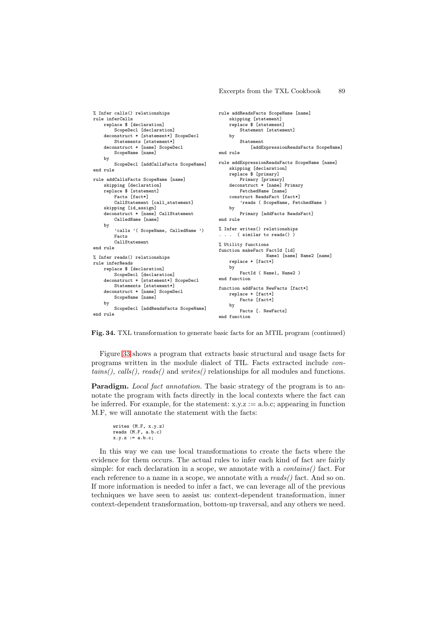```
% Infer calls() relationships
rule inferCalls
   replace $ [declaration]
       ScopeDecl [declaration]
    deconstruct * [statement*] ScopeDecl
       Statements [statement*]
    deconstruct * [name] ScopeDecl
       ScopeName [name]
   by
       ScopeDecl [addCallsFacts ScopeName]
end rule
rule addCallsFacts ScopeName [name]
    skipping [declaration]
    replace $ [statement]
       Facts [fact*]
       CallStatement [call_statement]
    skipping [id_assign]
    deconstruct * [name] CallStatement
       CalledName [name]
   by
        'calls '( ScopeName, CalledName ')
       Facts
       CallStatement
end rule
% Infer reads() relationships
rule inferReads
   replace $ [declaration]
       ScopeDecl [declaration]
    deconstruct * [statement*] ScopeDecl
       Statements [statement*]
    deconstruct * [name] ScopeDecl
       ScopeName [name]
    by
       ScopeDecl [addReadsFacts ScopeName]
end rule
                                                rule addReadsFacts ScopeName [name]
                                                    skipping [statement]
                                                    replace $ [statement]
                                                        Statement [statement]
                                                    by
                                                        Statement
                                                            [addExpressionReadsFacts ScopeName]
                                                end rule
                                                rule addExpressionReadsFacts ScopeName [name]
                                                    skipping [declaration]
                                                    replace $ [primary]
                                                        Primary [primary]
                                                    deconstruct * [name] Primary
                                                        FetchedName [name]
                                                    construct ReadsFact [fact*]
                                                        'reads ( ScopeName, FetchedName )
                                                    by
                                                        Primary [addFacts ReadsFact]
                                                end rule
                                                % Infer writes() relationships
                                                . . . ( similar to reads() )
                                                % Utility functions
                                                function makeFact FactId [id]
                                                                  Name1 [name] Name2 [name]
                                                    replace * [fact*]
                                                    by
                                                        FactId ( Name1, Name2 )
                                                end function
                                                function addFacts NewFacts [fact*]
                                                    replace * [fact*]
                                                        Facts [fact*]
                                                    by
                                                        Facts [. NewFacts]
                                                end function
```
**Fig. 34.** TXL transformation to generate basic facts for an MTIL program (continued)

Figure [33](#page-61-0) shows a program that extracts basic structural and usage facts for programs written in the module dialect of TIL. Facts extracted include *contains(), calls(), reads()* and *writes()* relationships for all modules and functions.

**Paradigm.** *Local fact annotation.* The basic strategy of the program is to annotate the program with facts directly in the local contexts where the fact can be inferred. For example, for the statement:  $x.y.z := a.b.c$ ; appearing in function M.F, we will annotate the statement with the facts:

```
writes (M.F, x.y.z)
reads (M.F, a.b.c)
x.y.z := a.b.c;
```
In this way we can use local transformations to create the facts where the evidence for them occurs. The actual rules to infer each kind of fact are fairly simple: for each declaration in a scope, we annotate with a *contains()* fact. For each reference to a name in a scope, we annotate with a *reads()* fact. And so on. If more information is needed to infer a fact, we can leverage all of the previous techniques we have seen to assist us: context-dependent transformation, inner context-dependent transformation, bottom-up traversal, and any others we need.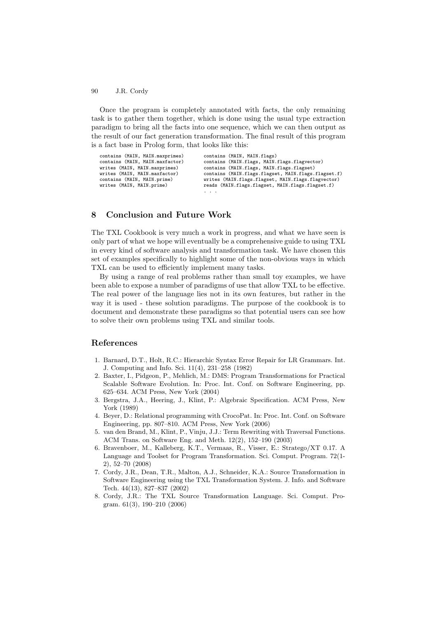Once the program is completely annotated with facts, the only remaining task is to gather them together, which is done using the usual type extraction paradigm to bring all the facts into one sequence, which we can then output as the result of our fact generation transformation. The final result of this program is a fact base in Prolog form, that looks like this:

| contains (MAIN, MAIN.maxprimes) | contains (MAIN, MAIN.flags)                         |
|---------------------------------|-----------------------------------------------------|
| contains (MAIN, MAIN.maxfactor) | contains (MAIN.flags, MAIN.flags.flagvector)        |
| writes (MAIN, MAIN.maxprimes)   | contains (MAIN.flags, MAIN.flags.flagset)           |
| writes (MAIN, MAIN.maxfactor)   | contains (MAIN.flags.flagset, MAIN.flags.flagset.f) |
| contains (MAIN, MAIN.prime)     | writes (MAIN.flags.flagset, MAIN.flags.flagvector)  |
| writes (MAIN, MAIN.prime)       | reads (MAIN.flags.flagset, MAIN.flags.flagset.f)    |
|                                 |                                                     |

# **8 Conclusion and Future Work**

The TXL Cookbook is very much a work in progress, and what we have seen is only part of what we hope will eventually be a comprehensive guide to using TXL in every kind of software analysis and transformation task. We have chosen this set of examples specifically to highlight some of the non-obvious ways in which TXL can be used to efficiently implement many tasks.

By using a range of real problems rather than small toy examples, we have been able to expose a number of paradigms of use that allow TXL to be effective. The real power of the language lies not in its own features, but rather in the way it is used - these solution paradigms. The purpose of the cookbook is to document and demonstrate these paradigms so that potential users can see how to solve their own problems using TXL and similar tools.

## <span id="page-63-5"></span>**References**

- <span id="page-63-7"></span>1. Barnard, D.T., Holt, R.C.: Hierarchic Syntax Error Repair for LR Grammars. Int. J. Computing and Info. Sci. 11(4), 231–258 (1982)
- <span id="page-63-0"></span>2. Baxter, I., Pidgeon, P., Mehlich, M.: DMS: Program Transformations for Practical Scalable Software Evolution. In: Proc. Int. Conf. on Software Engineering, pp. 625–634. ACM Press, New York (2004)
- <span id="page-63-2"></span>3. Bergstra, J.A., Heering, J., Klint, P.: Algebraic Specification. ACM Press, New York (1989)
- <span id="page-63-8"></span>4. Beyer, D.: Relational programming with CrocoPat. In: Proc. Int. Conf. on Software Engineering, pp. 807–810. ACM Press, New York (2006)
- <span id="page-63-3"></span>5. van den Brand, M., Klint, P., Vinju, J.J.: Term Rewriting with Traversal Functions. ACM Trans. on Software Eng. and Meth. 12(2), 152–190 (2003)
- <span id="page-63-1"></span>6. Bravenboer, M., Kalleberg, K.T., Vermaas, R., Visser, E.: Stratego/XT 0.17. A Language and Toolset for Program Transformation. Sci. Comput. Program. 72(1- 2), 52–70 (2008)
- <span id="page-63-6"></span>7. Cordy, J.R., Dean, T.R., Malton, A.J., Schneider, K.A.: Source Transformation in Software Engineering using the TXL Transformation System. J. Info. and Software Tech. 44(13), 827–837 (2002)
- <span id="page-63-4"></span>8. Cordy, J.R.: The TXL Source Transformation Language. Sci. Comput. Program. 61(3), 190–210 (2006)